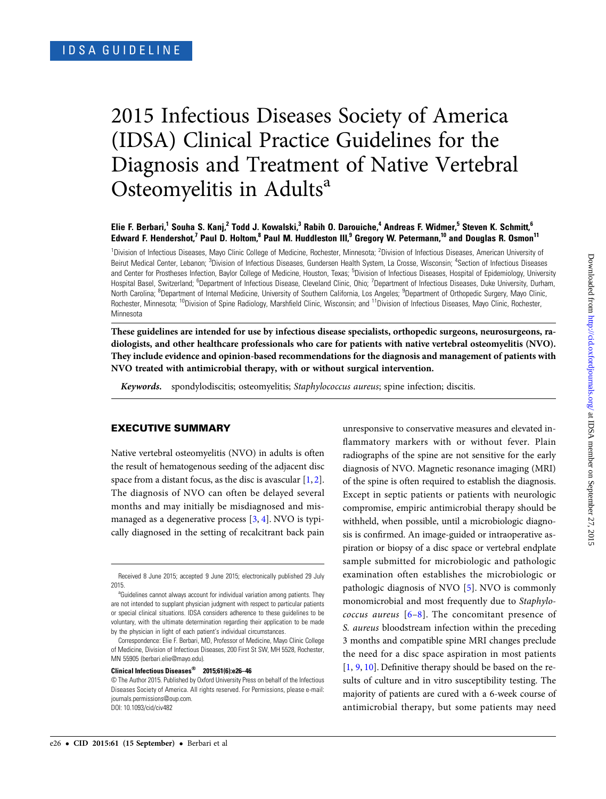# 2015 Infectious Diseases Society of America (IDSA) Clinical Practice Guidelines for the Diagnosis and Treatment of Native Vertebral Osteomyelitis in Adults<sup>a</sup>

#### Elie F. Berbari,<sup>1</sup> Souha S. Kanj,<sup>2</sup> Todd J. Kowalski,<sup>3</sup> Rabih O. Darouiche,<sup>4</sup> Andreas F. Widmer,<sup>5</sup> Steven K. Schmitt,<sup>6</sup> Edward F. Hendershot,<sup>7</sup> Paul D. Holtom,<sup>8</sup> Paul M. Huddleston III,<sup>9</sup> Gregory W. Petermann,<sup>10</sup> and Douglas R. Osmon<sup>11</sup>

<sup>1</sup>Division of Infectious Diseases, Mayo Clinic College of Medicine, Rochester, Minnesota; <sup>2</sup>Division of Infectious Diseases, American University of Beirut Medical Center, Lebanon; <sup>3</sup>Division of Infectious Diseases, Gundersen Health System, La Crosse, Wisconsin; <sup>4</sup>Section of Infectious Diseases and Center for Prostheses Infection, Baylor College of Medicine, Houston, Texas; <sup>5</sup>Division of Infectious Diseases, Hospital of Epidemiology, University Hospital Basel, Switzerland; <sup>6</sup>Department of Infectious Disease, Cleveland Clinic, Ohio; <sup>7</sup>Department of Infectious Diseases, Duke University, Durham, North Carolina; <sup>8</sup>Department of Internal Medicine, University of Southern California, Los Angeles; <sup>9</sup>Department of Orthopedic Surgery, Mayo Clinic, Rochester, Minnesota; <sup>10</sup>Division of Spine Radiology, Marshfield Clinic, Wisconsin; and <sup>11</sup>Division of Infectious Diseases, Mayo Clinic, Rochester, Minnesota

These guidelines are intended for use by infectious disease specialists, orthopedic surgeons, neurosurgeons, radiologists, and other healthcare professionals who care for patients with native vertebral osteomyelitis (NVO). They include evidence and opinion-based recommendations for the diagnosis and management of patients with NVO treated with antimicrobial therapy, with or without surgical intervention.

Keywords. spondylodiscitis; osteomyelitis; Staphylococcus aureus; spine infection; discitis.

#### EXECUTIVE SUMMARY

Native vertebral osteomyelitis (NVO) in adults is often the result of hematogenous seeding of the adjacent disc space from a distant focus, as the disc is avascular  $[1, 2]$  $[1, 2]$  $[1, 2]$  $[1, 2]$ . The diagnosis of NVO can often be delayed several months and may initially be misdiagnosed and mismanaged as a degenerative process [\[3,](#page-17-0) [4\]](#page-17-0). NVO is typically diagnosed in the setting of recalcitrant back pain

#### Clinical Infectious Diseases® 2015;61(6):e26–46

unresponsive to conservative measures and elevated inflammatory markers with or without fever. Plain radiographs of the spine are not sensitive for the early diagnosis of NVO. Magnetic resonance imaging (MRI) of the spine is often required to establish the diagnosis. Except in septic patients or patients with neurologic compromise, empiric antimicrobial therapy should be withheld, when possible, until a microbiologic diagnosis is confirmed. An image-guided or intraoperative aspiration or biopsy of a disc space or vertebral endplate sample submitted for microbiologic and pathologic examination often establishes the microbiologic or pathologic diagnosis of NVO [\[5](#page-17-0)]. NVO is commonly monomicrobial and most frequently due to Staphylococcus aureus [\[6](#page-17-0)–[8](#page-17-0)]. The concomitant presence of S. aureus bloodstream infection within the preceding 3 months and compatible spine MRI changes preclude the need for a disc space aspiration in most patients [\[1,](#page-17-0) [9,](#page-17-0) [10](#page-17-0)]. Definitive therapy should be based on the results of culture and in vitro susceptibility testing. The majority of patients are cured with a 6-week course of antimicrobial therapy, but some patients may need

Received 8 June 2015; accepted 9 June 2015; electronically published 29 July 2015.

<sup>&</sup>lt;sup>a</sup>Guidelines cannot always account for individual variation among patients. They are not intended to supplant physician judgment with respect to particular patients or special clinical situations. IDSA considers adherence to these guidelines to be voluntary, with the ultimate determination regarding their application to be made by the physician in light of each patient's individual circumstances.

Correspondence: Elie F. Berbari, MD, Professor of Medicine, Mayo Clinic College of Medicine, Division of Infectious Diseases, 200 First St SW, MH 5528, Rochester, MN 55905 ([berbari.elie@mayo.edu\)](mailto:berbari.elie@mayo.edu).

<sup>©</sup> The Author 2015. Published by Oxford University Press on behalf of the Infectious Diseases Society of America. All rights reserved. For Permissions, please e-mail: [journals.permissions@oup.com](mailto:journals.permissions@oup.com). DOI: 10.1093/cid/civ482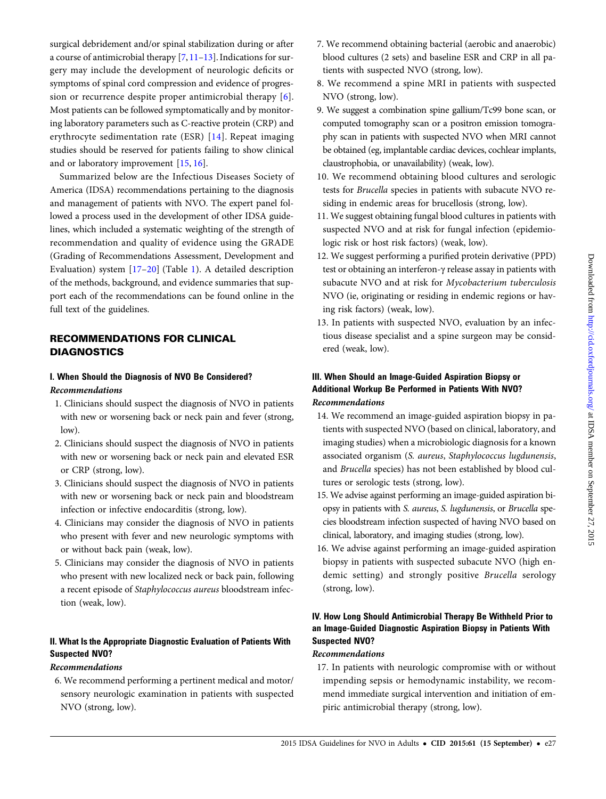surgical debridement and/or spinal stabilization during or after a course of antimicrobial therapy [[7](#page-17-0), [11](#page-17-0)–[13\]](#page-17-0). Indications for surgery may include the development of neurologic deficits or symptoms of spinal cord compression and evidence of progression or recurrence despite proper antimicrobial therapy [[6](#page-17-0)]. Most patients can be followed symptomatically and by monitoring laboratory parameters such as C-reactive protein (CRP) and erythrocyte sedimentation rate (ESR) [\[14\]](#page-17-0). Repeat imaging studies should be reserved for patients failing to show clinical and or laboratory improvement [\[15](#page-17-0), [16\]](#page-17-0).

Summarized below are the Infectious Diseases Society of America (IDSA) recommendations pertaining to the diagnosis and management of patients with NVO. The expert panel followed a process used in the development of other IDSA guidelines, which included a systematic weighting of the strength of recommendation and quality of evidence using the GRADE (Grading of Recommendations Assessment, Development and Evaluation) system [[17](#page-17-0)–[20](#page-17-0)] (Table [1\)](#page-2-0). A detailed description of the methods, background, and evidence summaries that support each of the recommendations can be found online in the full text of the guidelines.

# RECOMMENDATIONS FOR CLINICAL **DIAGNOSTICS**

#### I. When Should the Diagnosis of NVO Be Considered? Recommendations

- 1. Clinicians should suspect the diagnosis of NVO in patients with new or worsening back or neck pain and fever (strong, low).
- 2. Clinicians should suspect the diagnosis of NVO in patients with new or worsening back or neck pain and elevated ESR or CRP (strong, low).
- 3. Clinicians should suspect the diagnosis of NVO in patients with new or worsening back or neck pain and bloodstream infection or infective endocarditis (strong, low).
- 4. Clinicians may consider the diagnosis of NVO in patients who present with fever and new neurologic symptoms with or without back pain (weak, low).
- 5. Clinicians may consider the diagnosis of NVO in patients who present with new localized neck or back pain, following a recent episode of Staphylococcus aureus bloodstream infection (weak, low).

# II. What Is the Appropriate Diagnostic Evaluation of Patients With Suspected NVO?

#### Recommendations

6. We recommend performing a pertinent medical and motor/ sensory neurologic examination in patients with suspected NVO (strong, low).

- 7. We recommend obtaining bacterial (aerobic and anaerobic) blood cultures (2 sets) and baseline ESR and CRP in all patients with suspected NVO (strong, low).
- 8. We recommend a spine MRI in patients with suspected NVO (strong, low).
- 9. We suggest a combination spine gallium/Tc99 bone scan, or computed tomography scan or a positron emission tomography scan in patients with suspected NVO when MRI cannot be obtained (eg, implantable cardiac devices, cochlear implants, claustrophobia, or unavailability) (weak, low).
- 10. We recommend obtaining blood cultures and serologic tests for Brucella species in patients with subacute NVO residing in endemic areas for brucellosis (strong, low).
- 11. We suggest obtaining fungal blood cultures in patients with suspected NVO and at risk for fungal infection (epidemiologic risk or host risk factors) (weak, low).
- 12. We suggest performing a purified protein derivative (PPD) test or obtaining an interferon-γ release assay in patients with subacute NVO and at risk for Mycobacterium tuberculosis NVO (ie, originating or residing in endemic regions or having risk factors) (weak, low).
- 13. In patients with suspected NVO, evaluation by an infectious disease specialist and a spine surgeon may be considered (weak, low).

## III. When Should an Image-Guided Aspiration Biopsy or Additional Workup Be Performed in Patients With NVO? Recommendations

- 14. We recommend an image-guided aspiration biopsy in patients with suspected NVO (based on clinical, laboratory, and imaging studies) when a microbiologic diagnosis for a known associated organism (S. aureus, Staphylococcus lugdunensis, and Brucella species) has not been established by blood cultures or serologic tests (strong, low).
- 15. We advise against performing an image-guided aspiration biopsy in patients with S. aureus, S. lugdunensis, or Brucella species bloodstream infection suspected of having NVO based on clinical, laboratory, and imaging studies (strong, low).
- 16. We advise against performing an image-guided aspiration biopsy in patients with suspected subacute NVO (high endemic setting) and strongly positive Brucella serology (strong, low).

# IV. How Long Should Antimicrobial Therapy Be Withheld Prior to an Image-Guided Diagnostic Aspiration Biopsy in Patients With Suspected NVO?

#### Recommendations

17. In patients with neurologic compromise with or without impending sepsis or hemodynamic instability, we recommend immediate surgical intervention and initiation of empiric antimicrobial therapy (strong, low).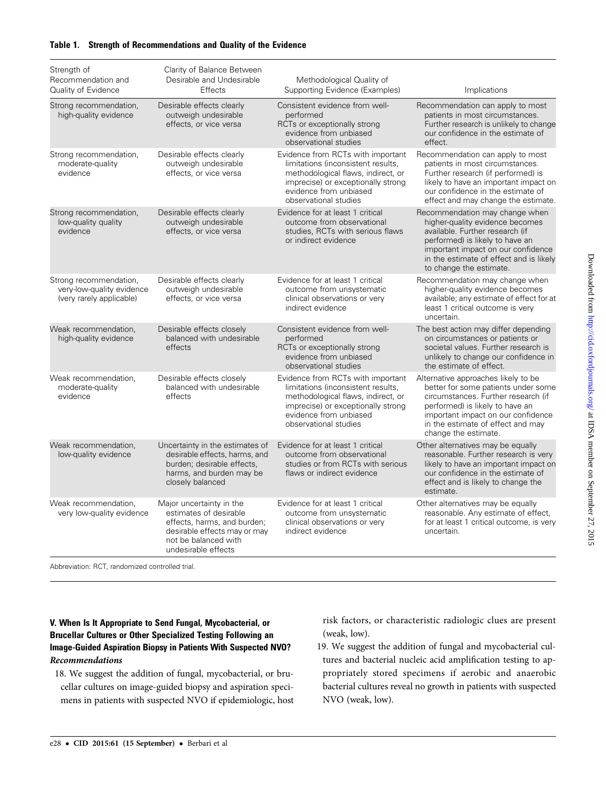| Strength of<br>Recommendation and<br>Quality of Evidence                        | Clarity of Balance Between<br>Desirable and Undesirable<br><b>Effects</b>                                                                                        | Methodological Quality of<br>Supporting Evidence (Examples)                                                                                                                                            | Implications                                                                                                                                                                                                                                            |
|---------------------------------------------------------------------------------|------------------------------------------------------------------------------------------------------------------------------------------------------------------|--------------------------------------------------------------------------------------------------------------------------------------------------------------------------------------------------------|---------------------------------------------------------------------------------------------------------------------------------------------------------------------------------------------------------------------------------------------------------|
| Strong recommendation,<br>high-quality evidence                                 | Desirable effects clearly<br>outweigh undesirable<br>effects, or vice versa                                                                                      | Consistent evidence from well-<br>performed<br>RCTs or exceptionally strong<br>evidence from unbiased<br>observational studies                                                                         | Recommendation can apply to most<br>patients in most circumstances.<br>Further research is unlikely to change<br>our confidence in the estimate of<br>effect.                                                                                           |
| Strong recommendation,<br>moderate-quality<br>evidence                          | Desirable effects clearly<br>outweigh undesirable<br>effects, or vice versa                                                                                      | Evidence from RCTs with important<br>limitations (inconsistent results,<br>methodological flaws, indirect, or<br>imprecise) or exceptionally strong<br>evidence from unbiased<br>observational studies | Recommendation can apply to most<br>patients in most circumstances.<br>Further research (if performed) is<br>likely to have an important impact on<br>our confidence in the estimate of<br>effect and may change the estimate.                          |
| Strong recommendation,<br>low-quality quality<br>evidence                       | Desirable effects clearly<br>outweigh undesirable<br>effects, or vice versa                                                                                      | Evidence for at least 1 critical<br>outcome from observational<br>studies, RCTs with serious flaws<br>or indirect evidence                                                                             | Recommendation may change when<br>higher-quality evidence becomes<br>available. Further research (if<br>performed) is likely to have an<br>important impact on our confidence<br>in the estimate of effect and is likely<br>to change the estimate.     |
| Strong recommendation,<br>very-low-quality evidence<br>(very rarely applicable) | Desirable effects clearly<br>outweigh undesirable<br>effects, or vice versa                                                                                      | Evidence for at least 1 critical<br>outcome from unsystematic<br>clinical observations or very<br>indirect evidence                                                                                    | Recommendation may change when<br>higher-quality evidence becomes<br>available; any estimate of effect for at<br>least 1 critical outcome is very<br>uncertain.                                                                                         |
| Weak recommendation,<br>high-quality evidence                                   | Desirable effects closely<br>balanced with undesirable<br>effects                                                                                                | Consistent evidence from well-<br>performed<br>RCTs or exceptionally strong<br>evidence from unbiased<br>observational studies                                                                         | The best action may differ depending<br>on circumstances or patients or<br>societal values. Further research is<br>unlikely to change our confidence in<br>the estimate of effect.                                                                      |
| Weak recommendation,<br>moderate-quality<br>evidence                            | Desirable effects closely<br>balanced with undesirable<br>effects                                                                                                | Evidence from RCTs with important<br>limitations (inconsistent results,<br>methodological flaws, indirect, or<br>imprecise) or exceptionally strong<br>evidence from unbiased<br>observational studies | Alternative approaches likely to be<br>better for some patients under some<br>circumstances. Further research (if<br>performed) is likely to have an<br>important impact on our confidence<br>in the estimate of effect and may<br>change the estimate. |
| Weak recommendation,<br>low-quality evidence                                    | Uncertainty in the estimates of<br>desirable effects, harms, and<br>burden; desirable effects,<br>harms, and burden may be<br>closely balanced                   | Evidence for at least 1 critical<br>outcome from observational<br>studies or from RCTs with serious<br>flaws or indirect evidence                                                                      | Other alternatives may be equally<br>reasonable. Further research is very<br>likely to have an important impact on<br>our confidence in the estimate of<br>effect and is likely to change the<br>estimate.                                              |
| Weak recommendation.<br>very low-quality evidence                               | Major uncertainty in the<br>estimates of desirable<br>effects, harms, and burden;<br>desirable effects may or may<br>not be balanced with<br>undesirable effects | Evidence for at least 1 critical<br>outcome from unsystematic<br>clinical observations or very<br>indirect evidence                                                                                    | Other alternatives may be equally<br>reasonable. Any estimate of effect,<br>for at least 1 critical outcome, is very<br>uncertain.                                                                                                                      |

#### <span id="page-2-0"></span>Table 1. Strength of Recommendations and Quality of the Evidence

Abbreviation: RCT, randomized controlled trial.

## V. When Is It Appropriate to Send Fungal, Mycobacterial, or Brucellar Cultures or Other Specialized Testing Following an Image-Guided Aspiration Biopsy in Patients With Suspected NVO? Recommendations

18. We suggest the addition of fungal, mycobacterial, or brucellar cultures on image-guided biopsy and aspiration specimens in patients with suspected NVO if epidemiologic, host risk factors, or characteristic radiologic clues are present (weak, low).

19. We suggest the addition of fungal and mycobacterial cultures and bacterial nucleic acid amplification testing to appropriately stored specimens if aerobic and anaerobic bacterial cultures reveal no growth in patients with suspected NVO (weak, low).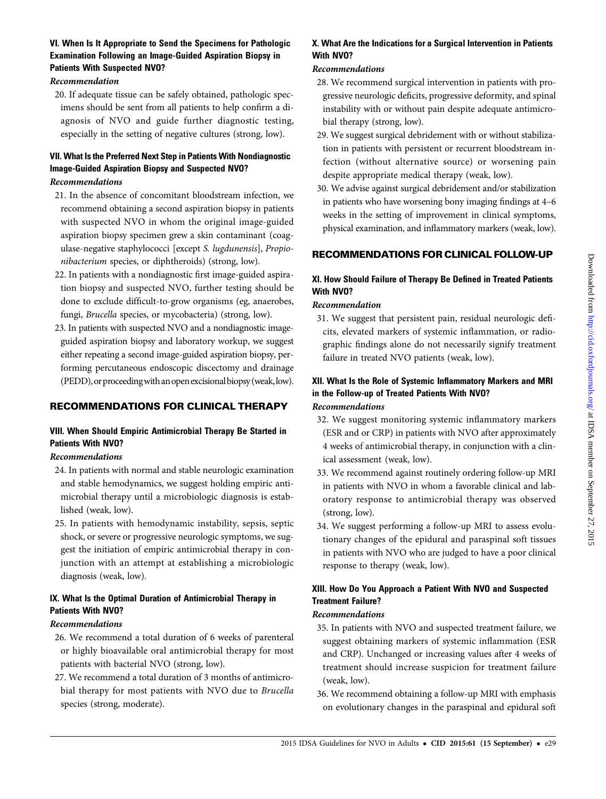# VI. When Is It Appropriate to Send the Specimens for Pathologic Examination Following an Image-Guided Aspiration Biopsy in Patients With Suspected NVO?

## Recommendation

20. If adequate tissue can be safely obtained, pathologic specimens should be sent from all patients to help confirm a diagnosis of NVO and guide further diagnostic testing, especially in the setting of negative cultures (strong, low).

# VII. What Is the Preferred Next Step in Patients With Nondiagnostic Image-Guided Aspiration Biopsy and Suspected NVO?

# Recommendations

- 21. In the absence of concomitant bloodstream infection, we recommend obtaining a second aspiration biopsy in patients with suspected NVO in whom the original image-guided aspiration biopsy specimen grew a skin contaminant (coagulase-negative staphylococci [except S. lugdunensis], Propionibacterium species, or diphtheroids) (strong, low).
- 22. In patients with a nondiagnostic first image-guided aspiration biopsy and suspected NVO, further testing should be done to exclude difficult-to-grow organisms (eg, anaerobes, fungi, Brucella species, or mycobacteria) (strong, low).
- 23. In patients with suspected NVO and a nondiagnostic imageguided aspiration biopsy and laboratory workup, we suggest either repeating a second image-guided aspiration biopsy, performing percutaneous endoscopic discectomy and drainage (PEDD), or proceeding with an open excisional biopsy (weak, low).

# RECOMMENDATIONS FOR CLINICAL THERAPY

# VIII. When Should Empiric Antimicrobial Therapy Be Started in Patients With NVO?

## Recommendations

- 24. In patients with normal and stable neurologic examination and stable hemodynamics, we suggest holding empiric antimicrobial therapy until a microbiologic diagnosis is established (weak, low).
- 25. In patients with hemodynamic instability, sepsis, septic shock, or severe or progressive neurologic symptoms, we suggest the initiation of empiric antimicrobial therapy in conjunction with an attempt at establishing a microbiologic diagnosis (weak, low).

# IX. What Is the Optimal Duration of Antimicrobial Therapy in Patients With NVO?

## Recommendations

- 26. We recommend a total duration of 6 weeks of parenteral or highly bioavailable oral antimicrobial therapy for most patients with bacterial NVO (strong, low).
- 27. We recommend a total duration of 3 months of antimicrobial therapy for most patients with NVO due to Brucella species (strong, moderate).

# X. What Are the Indications for a Surgical Intervention in Patients With NVO?

#### Recommendations

- 28. We recommend surgical intervention in patients with progressive neurologic deficits, progressive deformity, and spinal instability with or without pain despite adequate antimicrobial therapy (strong, low).
- 29. We suggest surgical debridement with or without stabilization in patients with persistent or recurrent bloodstream infection (without alternative source) or worsening pain despite appropriate medical therapy (weak, low).
- 30. We advise against surgical debridement and/or stabilization in patients who have worsening bony imaging findings at 4–6 weeks in the setting of improvement in clinical symptoms, physical examination, and inflammatory markers (weak, low).

# RECOMMENDATIONS FOR CLINICAL FOLLOW-UP

# XI. How Should Failure of Therapy Be Defined in Treated Patients With NVO?

## Recommendation

31. We suggest that persistent pain, residual neurologic deficits, elevated markers of systemic inflammation, or radiographic findings alone do not necessarily signify treatment failure in treated NVO patients (weak, low).

#### XII. What Is the Role of Systemic Inflammatory Markers and MRI in the Follow-up of Treated Patients With NVO? Recommendations

- 32. We suggest monitoring systemic inflammatory markers (ESR and or CRP) in patients with NVO after approximately 4 weeks of antimicrobial therapy, in conjunction with a clinical assessment (weak, low).
- 33. We recommend against routinely ordering follow-up MRI in patients with NVO in whom a favorable clinical and laboratory response to antimicrobial therapy was observed (strong, low).
- 34. We suggest performing a follow-up MRI to assess evolutionary changes of the epidural and paraspinal soft tissues in patients with NVO who are judged to have a poor clinical response to therapy (weak, low).

# XIII. How Do You Approach a Patient With NVO and Suspected Treatment Failure?

- 35. In patients with NVO and suspected treatment failure, we suggest obtaining markers of systemic inflammation (ESR and CRP). Unchanged or increasing values after 4 weeks of treatment should increase suspicion for treatment failure (weak, low).
- 36. We recommend obtaining a follow-up MRI with emphasis on evolutionary changes in the paraspinal and epidural soft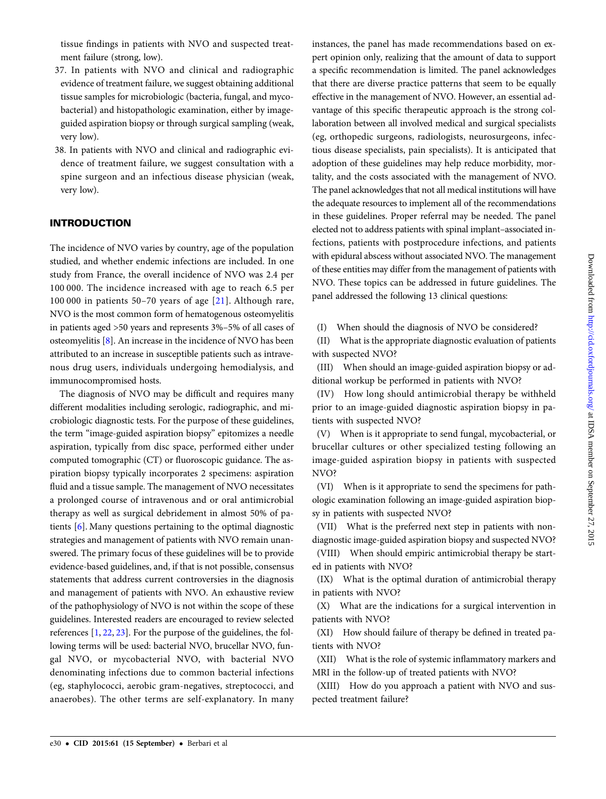tissue findings in patients with NVO and suspected treatment failure (strong, low).

- 37. In patients with NVO and clinical and radiographic evidence of treatment failure, we suggest obtaining additional tissue samples for microbiologic (bacteria, fungal, and mycobacterial) and histopathologic examination, either by imageguided aspiration biopsy or through surgical sampling (weak, very low).
- 38. In patients with NVO and clinical and radiographic evidence of treatment failure, we suggest consultation with a spine surgeon and an infectious disease physician (weak, very low).

#### INTRODUCTION

The incidence of NVO varies by country, age of the population studied, and whether endemic infections are included. In one study from France, the overall incidence of NVO was 2.4 per 100 000. The incidence increased with age to reach 6.5 per 100 000 in patients 50–70 years of age [\[21\]](#page-17-0). Although rare, NVO is the most common form of hematogenous osteomyelitis in patients aged >50 years and represents 3%–5% of all cases of osteomyelitis [\[8\]](#page-17-0). An increase in the incidence of NVO has been attributed to an increase in susceptible patients such as intravenous drug users, individuals undergoing hemodialysis, and immunocompromised hosts.

The diagnosis of NVO may be difficult and requires many different modalities including serologic, radiographic, and microbiologic diagnostic tests. For the purpose of these guidelines, the term "image-guided aspiration biopsy" epitomizes a needle aspiration, typically from disc space, performed either under computed tomographic (CT) or fluoroscopic guidance. The aspiration biopsy typically incorporates 2 specimens: aspiration fluid and a tissue sample. The management of NVO necessitates a prolonged course of intravenous and or oral antimicrobial therapy as well as surgical debridement in almost 50% of patients [[6](#page-17-0)]. Many questions pertaining to the optimal diagnostic strategies and management of patients with NVO remain unanswered. The primary focus of these guidelines will be to provide evidence-based guidelines, and, if that is not possible, consensus statements that address current controversies in the diagnosis and management of patients with NVO. An exhaustive review of the pathophysiology of NVO is not within the scope of these guidelines. Interested readers are encouraged to review selected references [\[1,](#page-17-0) [22,](#page-17-0) [23\]](#page-17-0). For the purpose of the guidelines, the following terms will be used: bacterial NVO, brucellar NVO, fungal NVO, or mycobacterial NVO, with bacterial NVO denominating infections due to common bacterial infections (eg, staphylococci, aerobic gram-negatives, streptococci, and anaerobes). The other terms are self-explanatory. In many instances, the panel has made recommendations based on expert opinion only, realizing that the amount of data to support a specific recommendation is limited. The panel acknowledges that there are diverse practice patterns that seem to be equally effective in the management of NVO. However, an essential advantage of this specific therapeutic approach is the strong collaboration between all involved medical and surgical specialists (eg, orthopedic surgeons, radiologists, neurosurgeons, infectious disease specialists, pain specialists). It is anticipated that adoption of these guidelines may help reduce morbidity, mortality, and the costs associated with the management of NVO. The panel acknowledges that not all medical institutions will have the adequate resources to implement all of the recommendations in these guidelines. Proper referral may be needed. The panel elected not to address patients with spinal implant–associated infections, patients with postprocedure infections, and patients with epidural abscess without associated NVO. The management of these entities may differ from the management of patients with NVO. These topics can be addressed in future guidelines. The panel addressed the following 13 clinical questions:

(I) When should the diagnosis of NVO be considered?

(II) What is the appropriate diagnostic evaluation of patients with suspected NVO?

(III) When should an image-guided aspiration biopsy or additional workup be performed in patients with NVO?

(IV) How long should antimicrobial therapy be withheld prior to an image-guided diagnostic aspiration biopsy in patients with suspected NVO?

(V) When is it appropriate to send fungal, mycobacterial, or brucellar cultures or other specialized testing following an image-guided aspiration biopsy in patients with suspected NVO?

(VI) When is it appropriate to send the specimens for pathologic examination following an image-guided aspiration biopsy in patients with suspected NVO?

(VII) What is the preferred next step in patients with nondiagnostic image-guided aspiration biopsy and suspected NVO?

(VIII) When should empiric antimicrobial therapy be started in patients with NVO?

(IX) What is the optimal duration of antimicrobial therapy in patients with NVO?

(X) What are the indications for a surgical intervention in patients with NVO?

(XI) How should failure of therapy be defined in treated patients with NVO?

(XII) What is the role of systemic inflammatory markers and MRI in the follow-up of treated patients with NVO?

(XIII) How do you approach a patient with NVO and suspected treatment failure?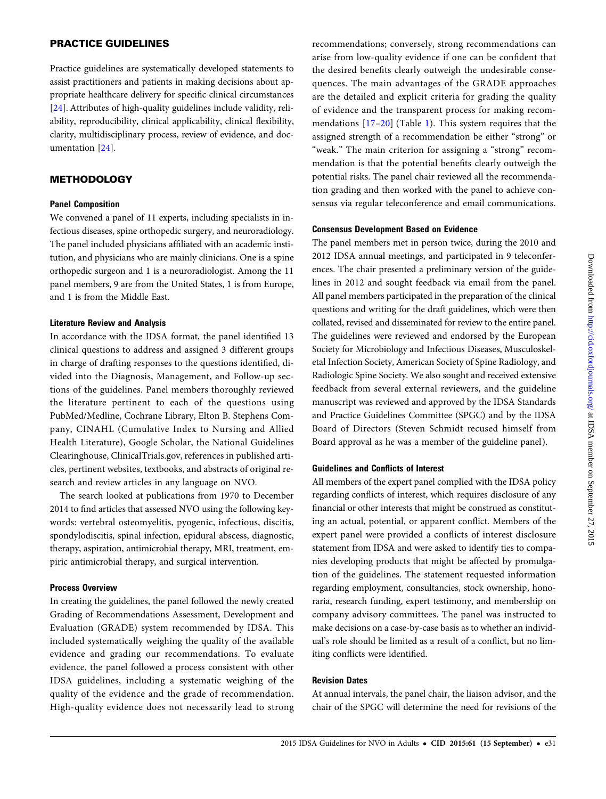#### PRACTICE GUIDELINES

Practice guidelines are systematically developed statements to assist practitioners and patients in making decisions about appropriate healthcare delivery for specific clinical circumstances [\[24](#page-17-0)]. Attributes of high-quality guidelines include validity, reliability, reproducibility, clinical applicability, clinical flexibility, clarity, multidisciplinary process, review of evidence, and documentation [[24](#page-17-0)].

## **METHODOLOGY**

#### Panel Composition

We convened a panel of 11 experts, including specialists in infectious diseases, spine orthopedic surgery, and neuroradiology. The panel included physicians affiliated with an academic institution, and physicians who are mainly clinicians. One is a spine orthopedic surgeon and 1 is a neuroradiologist. Among the 11 panel members, 9 are from the United States, 1 is from Europe, and 1 is from the Middle East.

#### Literature Review and Analysis

In accordance with the IDSA format, the panel identified 13 clinical questions to address and assigned 3 different groups in charge of drafting responses to the questions identified, divided into the Diagnosis, Management, and Follow-up sections of the guidelines. Panel members thoroughly reviewed the literature pertinent to each of the questions using PubMed/Medline, Cochrane Library, Elton B. Stephens Company, CINAHL (Cumulative Index to Nursing and Allied Health Literature), Google Scholar, the National Guidelines Clearinghouse, ClinicalTrials.gov, references in published articles, pertinent websites, textbooks, and abstracts of original research and review articles in any language on NVO.

The search looked at publications from 1970 to December 2014 to find articles that assessed NVO using the following keywords: vertebral osteomyelitis, pyogenic, infectious, discitis, spondylodiscitis, spinal infection, epidural abscess, diagnostic, therapy, aspiration, antimicrobial therapy, MRI, treatment, empiric antimicrobial therapy, and surgical intervention.

#### Process Overview

In creating the guidelines, the panel followed the newly created Grading of Recommendations Assessment, Development and Evaluation (GRADE) system recommended by IDSA. This included systematically weighing the quality of the available evidence and grading our recommendations. To evaluate evidence, the panel followed a process consistent with other IDSA guidelines, including a systematic weighing of the quality of the evidence and the grade of recommendation. High-quality evidence does not necessarily lead to strong

recommendations; conversely, strong recommendations can arise from low-quality evidence if one can be confident that the desired benefits clearly outweigh the undesirable consequences. The main advantages of the GRADE approaches are the detailed and explicit criteria for grading the quality of evidence and the transparent process for making recommendations [[17](#page-17-0)–[20](#page-17-0)] (Table [1](#page-2-0)). This system requires that the assigned strength of a recommendation be either "strong" or "weak." The main criterion for assigning a "strong" recommendation is that the potential benefits clearly outweigh the potential risks. The panel chair reviewed all the recommendation grading and then worked with the panel to achieve consensus via regular teleconference and email communications.

#### Consensus Development Based on Evidence

The panel members met in person twice, during the 2010 and 2012 IDSA annual meetings, and participated in 9 teleconferences. The chair presented a preliminary version of the guidelines in 2012 and sought feedback via email from the panel. All panel members participated in the preparation of the clinical questions and writing for the draft guidelines, which were then collated, revised and disseminated for review to the entire panel. The guidelines were reviewed and endorsed by the European Society for Microbiology and Infectious Diseases, Musculoskeletal Infection Society, American Society of Spine Radiology, and Radiologic Spine Society. We also sought and received extensive feedback from several external reviewers, and the guideline manuscript was reviewed and approved by the IDSA Standards and Practice Guidelines Committee (SPGC) and by the IDSA Board of Directors (Steven Schmidt recused himself from Board approval as he was a member of the guideline panel).

#### Guidelines and Conflicts of Interest

All members of the expert panel complied with the IDSA policy regarding conflicts of interest, which requires disclosure of any financial or other interests that might be construed as constituting an actual, potential, or apparent conflict. Members of the expert panel were provided a conflicts of interest disclosure statement from IDSA and were asked to identify ties to companies developing products that might be affected by promulgation of the guidelines. The statement requested information regarding employment, consultancies, stock ownership, honoraria, research funding, expert testimony, and membership on company advisory committees. The panel was instructed to make decisions on a case-by-case basis as to whether an individual's role should be limited as a result of a conflict, but no limiting conflicts were identified.

#### Revision Dates

At annual intervals, the panel chair, the liaison advisor, and the chair of the SPGC will determine the need for revisions of the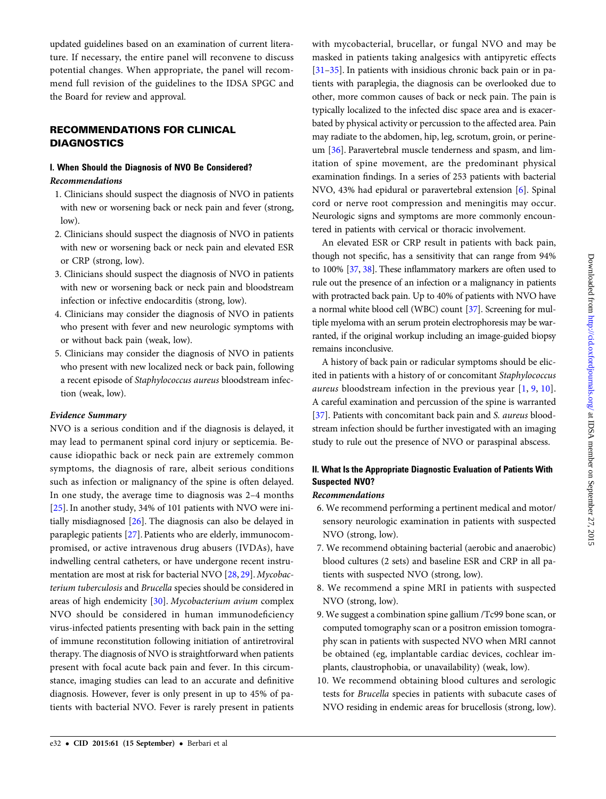updated guidelines based on an examination of current literature. If necessary, the entire panel will reconvene to discuss potential changes. When appropriate, the panel will recommend full revision of the guidelines to the IDSA SPGC and the Board for review and approval.

# RECOMMENDATIONS FOR CLINICAL **DIAGNOSTICS**

# I. When Should the Diagnosis of NVO Be Considered?

# Recommendations

- 1. Clinicians should suspect the diagnosis of NVO in patients with new or worsening back or neck pain and fever (strong, low).
- 2. Clinicians should suspect the diagnosis of NVO in patients with new or worsening back or neck pain and elevated ESR or CRP (strong, low).
- 3. Clinicians should suspect the diagnosis of NVO in patients with new or worsening back or neck pain and bloodstream infection or infective endocarditis (strong, low).
- 4. Clinicians may consider the diagnosis of NVO in patients who present with fever and new neurologic symptoms with or without back pain (weak, low).
- 5. Clinicians may consider the diagnosis of NVO in patients who present with new localized neck or back pain, following a recent episode of Staphylococcus aureus bloodstream infection (weak, low).

#### Evidence Summary

NVO is a serious condition and if the diagnosis is delayed, it may lead to permanent spinal cord injury or septicemia. Because idiopathic back or neck pain are extremely common symptoms, the diagnosis of rare, albeit serious conditions such as infection or malignancy of the spine is often delayed. In one study, the average time to diagnosis was 2–4 months [\[25](#page-17-0)]. In another study, 34% of 101 patients with NVO were initially misdiagnosed [\[26](#page-17-0)]. The diagnosis can also be delayed in paraplegic patients [\[27](#page-17-0)]. Patients who are elderly, immunocompromised, or active intravenous drug abusers (IVDAs), have indwelling central catheters, or have undergone recent instru-mentation are most at risk for bacterial NVO [\[28](#page-17-0), [29\]](#page-17-0). Mycobacterium tuberculosis and Brucella species should be considered in areas of high endemicity [\[30\]](#page-17-0). Mycobacterium avium complex NVO should be considered in human immunodeficiency virus-infected patients presenting with back pain in the setting of immune reconstitution following initiation of antiretroviral therapy. The diagnosis of NVO is straightforward when patients present with focal acute back pain and fever. In this circumstance, imaging studies can lead to an accurate and definitive diagnosis. However, fever is only present in up to 45% of patients with bacterial NVO. Fever is rarely present in patients

with mycobacterial, brucellar, or fungal NVO and may be masked in patients taking analgesics with antipyretic effects [\[31](#page-18-0)–[35](#page-18-0)]. In patients with insidious chronic back pain or in patients with paraplegia, the diagnosis can be overlooked due to other, more common causes of back or neck pain. The pain is typically localized to the infected disc space area and is exacerbated by physical activity or percussion to the affected area. Pain may radiate to the abdomen, hip, leg, scrotum, groin, or perineum [[36\]](#page-18-0). Paravertebral muscle tenderness and spasm, and limitation of spine movement, are the predominant physical examination findings. In a series of 253 patients with bacterial NVO, 43% had epidural or paravertebral extension [\[6\]](#page-17-0). Spinal cord or nerve root compression and meningitis may occur. Neurologic signs and symptoms are more commonly encountered in patients with cervical or thoracic involvement.

An elevated ESR or CRP result in patients with back pain, though not specific, has a sensitivity that can range from 94% to 100% [[37](#page-18-0), [38](#page-18-0)]. These inflammatory markers are often used to rule out the presence of an infection or a malignancy in patients with protracted back pain. Up to 40% of patients with NVO have a normal white blood cell (WBC) count [\[37](#page-18-0)]. Screening for multiple myeloma with an serum protein electrophoresis may be warranted, if the original workup including an image-guided biopsy remains inconclusive.

A history of back pain or radicular symptoms should be elicited in patients with a history of or concomitant Staphylococcus aureus bloodstream infection in the previous year [\[1,](#page-17-0) [9](#page-17-0), [10](#page-17-0)]. A careful examination and percussion of the spine is warranted [\[37](#page-18-0)]. Patients with concomitant back pain and S. aureus bloodstream infection should be further investigated with an imaging study to rule out the presence of NVO or paraspinal abscess.

# II. What Is the Appropriate Diagnostic Evaluation of Patients With Suspected NVO?

- 6. We recommend performing a pertinent medical and motor/ sensory neurologic examination in patients with suspected NVO (strong, low).
- 7. We recommend obtaining bacterial (aerobic and anaerobic) blood cultures (2 sets) and baseline ESR and CRP in all patients with suspected NVO (strong, low).
- 8. We recommend a spine MRI in patients with suspected NVO (strong, low).
- 9. We suggest a combination spine gallium /Tc99 bone scan, or computed tomography scan or a positron emission tomography scan in patients with suspected NVO when MRI cannot be obtained (eg, implantable cardiac devices, cochlear implants, claustrophobia, or unavailability) (weak, low).
- 10. We recommend obtaining blood cultures and serologic tests for Brucella species in patients with subacute cases of NVO residing in endemic areas for brucellosis (strong, low).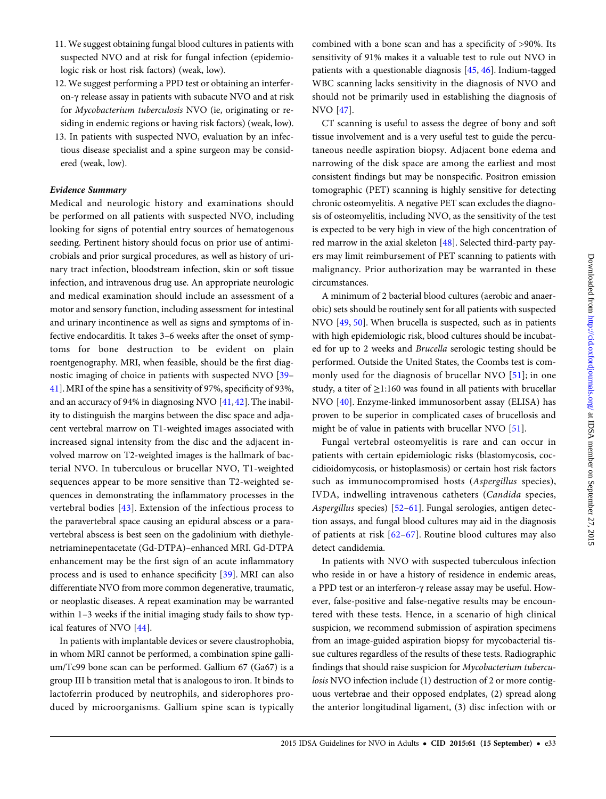- 11. We suggest obtaining fungal blood cultures in patients with suspected NVO and at risk for fungal infection (epidemiologic risk or host risk factors) (weak, low).
- 12. We suggest performing a PPD test or obtaining an interferon-γ release assay in patients with subacute NVO and at risk for Mycobacterium tuberculosis NVO (ie, originating or residing in endemic regions or having risk factors) (weak, low).
- 13. In patients with suspected NVO, evaluation by an infectious disease specialist and a spine surgeon may be considered (weak, low).

#### Evidence Summary

Medical and neurologic history and examinations should be performed on all patients with suspected NVO, including looking for signs of potential entry sources of hematogenous seeding. Pertinent history should focus on prior use of antimicrobials and prior surgical procedures, as well as history of urinary tract infection, bloodstream infection, skin or soft tissue infection, and intravenous drug use. An appropriate neurologic and medical examination should include an assessment of a motor and sensory function, including assessment for intestinal and urinary incontinence as well as signs and symptoms of infective endocarditis. It takes 3–6 weeks after the onset of symptoms for bone destruction to be evident on plain roentgenography. MRI, when feasible, should be the first diagnostic imaging of choice in patients with suspected NVO [[39](#page-18-0)– [41](#page-18-0)].MRI of the spine has a sensitivity of 97%, specificity of 93%, and an accuracy of 94% in diagnosing NVO [[41,](#page-18-0) [42](#page-18-0)]. The inability to distinguish the margins between the disc space and adjacent vertebral marrow on T1-weighted images associated with increased signal intensity from the disc and the adjacent involved marrow on T2-weighted images is the hallmark of bacterial NVO. In tuberculous or brucellar NVO, T1-weighted sequences appear to be more sensitive than T2-weighted sequences in demonstrating the inflammatory processes in the vertebral bodies [[43](#page-18-0)]. Extension of the infectious process to the paravertebral space causing an epidural abscess or a paravertebral abscess is best seen on the gadolinium with diethylenetriaminepentacetate (Gd-DTPA)–enhanced MRI. Gd-DTPA enhancement may be the first sign of an acute inflammatory process and is used to enhance specificity [\[39\]](#page-18-0). MRI can also differentiate NVO from more common degenerative, traumatic, or neoplastic diseases. A repeat examination may be warranted within 1–3 weeks if the initial imaging study fails to show typical features of NVO [\[44\]](#page-18-0).

In patients with implantable devices or severe claustrophobia, in whom MRI cannot be performed, a combination spine gallium/Tc99 bone scan can be performed. Gallium 67 (Ga67) is a group III b transition metal that is analogous to iron. It binds to lactoferrin produced by neutrophils, and siderophores produced by microorganisms. Gallium spine scan is typically combined with a bone scan and has a specificity of >90%. Its sensitivity of 91% makes it a valuable test to rule out NVO in patients with a questionable diagnosis [\[45](#page-18-0), [46\]](#page-18-0). Indium-tagged WBC scanning lacks sensitivity in the diagnosis of NVO and should not be primarily used in establishing the diagnosis of NVO [[47\]](#page-18-0).

CT scanning is useful to assess the degree of bony and soft tissue involvement and is a very useful test to guide the percutaneous needle aspiration biopsy. Adjacent bone edema and narrowing of the disk space are among the earliest and most consistent findings but may be nonspecific. Positron emission tomographic (PET) scanning is highly sensitive for detecting chronic osteomyelitis. A negative PET scan excludes the diagnosis of osteomyelitis, including NVO, as the sensitivity of the test is expected to be very high in view of the high concentration of red marrow in the axial skeleton [[48](#page-18-0)]. Selected third-party payers may limit reimbursement of PET scanning to patients with malignancy. Prior authorization may be warranted in these circumstances.

A minimum of 2 bacterial blood cultures (aerobic and anaerobic) sets should be routinely sent for all patients with suspected NVO [[49,](#page-18-0) [50](#page-18-0)]. When brucella is suspected, such as in patients with high epidemiologic risk, blood cultures should be incubated for up to 2 weeks and Brucella serologic testing should be performed. Outside the United States, the Coombs test is com-monly used for the diagnosis of brucellar NVO [[51\]](#page-18-0); in one study, a titer of  $\geq$ 1:160 was found in all patients with brucellar NVO [[40](#page-18-0)]. Enzyme-linked immunosorbent assay (ELISA) has proven to be superior in complicated cases of brucellosis and might be of value in patients with brucellar NVO [[51\]](#page-18-0).

Fungal vertebral osteomyelitis is rare and can occur in patients with certain epidemiologic risks (blastomycosis, coccidioidomycosis, or histoplasmosis) or certain host risk factors such as immunocompromised hosts (Aspergillus species), IVDA, indwelling intravenous catheters (Candida species, Aspergillus species) [[52](#page-18-0)–[61](#page-18-0)]. Fungal serologies, antigen detection assays, and fungal blood cultures may aid in the diagnosis of patients at risk [\[62](#page-18-0)–[67](#page-18-0)]. Routine blood cultures may also detect candidemia.

In patients with NVO with suspected tuberculous infection who reside in or have a history of residence in endemic areas, a PPD test or an interferon-γ release assay may be useful. However, false-positive and false-negative results may be encountered with these tests. Hence, in a scenario of high clinical suspicion, we recommend submission of aspiration specimens from an image-guided aspiration biopsy for mycobacterial tissue cultures regardless of the results of these tests. Radiographic findings that should raise suspicion for Mycobacterium tuberculosis NVO infection include (1) destruction of 2 or more contiguous vertebrae and their opposed endplates, (2) spread along the anterior longitudinal ligament, (3) disc infection with or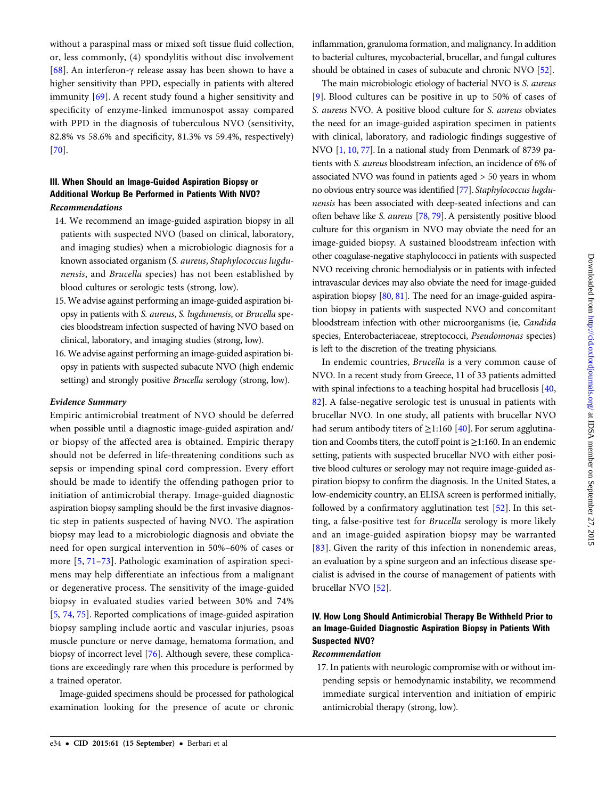without a paraspinal mass or mixed soft tissue fluid collection, or, less commonly, (4) spondylitis without disc involvement [\[68\]](#page-18-0). An interferon-γ release assay has been shown to have a higher sensitivity than PPD, especially in patients with altered immunity [[69\]](#page-18-0). A recent study found a higher sensitivity and specificity of enzyme-linked immunospot assay compared with PPD in the diagnosis of tuberculous NVO (sensitivity, 82.8% vs 58.6% and specificity, 81.3% vs 59.4%, respectively) [\[70](#page-18-0)].

## III. When Should an Image-Guided Aspiration Biopsy or Additional Workup Be Performed in Patients With NVO? Recommendations

- 14. We recommend an image-guided aspiration biopsy in all patients with suspected NVO (based on clinical, laboratory, and imaging studies) when a microbiologic diagnosis for a known associated organism (S. aureus, Staphylococcus lugdunensis, and Brucella species) has not been established by blood cultures or serologic tests (strong, low).
- 15. We advise against performing an image-guided aspiration biopsy in patients with S. aureus, S. lugdunensis, or Brucella species bloodstream infection suspected of having NVO based on clinical, laboratory, and imaging studies (strong, low).
- 16. We advise against performing an image-guided aspiration biopsy in patients with suspected subacute NVO (high endemic setting) and strongly positive Brucella serology (strong, low).

#### Evidence Summary

Empiric antimicrobial treatment of NVO should be deferred when possible until a diagnostic image-guided aspiration and/ or biopsy of the affected area is obtained. Empiric therapy should not be deferred in life-threatening conditions such as sepsis or impending spinal cord compression. Every effort should be made to identify the offending pathogen prior to initiation of antimicrobial therapy. Image-guided diagnostic aspiration biopsy sampling should be the first invasive diagnostic step in patients suspected of having NVO. The aspiration biopsy may lead to a microbiologic diagnosis and obviate the need for open surgical intervention in 50%–60% of cases or more [[5](#page-17-0), [71](#page-18-0)–[73\]](#page-18-0). Pathologic examination of aspiration specimens may help differentiate an infectious from a malignant or degenerative process. The sensitivity of the image-guided biopsy in evaluated studies varied between 30% and 74% [\[5,](#page-17-0) [74,](#page-18-0) [75](#page-18-0)]. Reported complications of image-guided aspiration biopsy sampling include aortic and vascular injuries, psoas muscle puncture or nerve damage, hematoma formation, and biopsy of incorrect level [\[76](#page-18-0)]. Although severe, these complications are exceedingly rare when this procedure is performed by a trained operator.

Image-guided specimens should be processed for pathological examination looking for the presence of acute or chronic inflammation, granuloma formation, and malignancy. In addition to bacterial cultures, mycobacterial, brucellar, and fungal cultures should be obtained in cases of subacute and chronic NVO [\[52](#page-18-0)].

The main microbiologic etiology of bacterial NVO is S. aureus [\[9\]](#page-17-0). Blood cultures can be positive in up to 50% of cases of S. aureus NVO. A positive blood culture for S. aureus obviates the need for an image-guided aspiration specimen in patients with clinical, laboratory, and radiologic findings suggestive of NVO [\[1,](#page-17-0) [10,](#page-17-0) [77](#page-18-0)]. In a national study from Denmark of 8739 patients with S. aureus bloodstream infection, an incidence of 6% of associated NVO was found in patients aged > 50 years in whom no obvious entry source was identified [\[77](#page-18-0)]. Staphylococcus lugdunensis has been associated with deep-seated infections and can often behave like S. aureus [\[78](#page-19-0), [79](#page-19-0)]. A persistently positive blood culture for this organism in NVO may obviate the need for an image-guided biopsy. A sustained bloodstream infection with other coagulase-negative staphylococci in patients with suspected NVO receiving chronic hemodialysis or in patients with infected intravascular devices may also obviate the need for image-guided aspiration biopsy [[80](#page-19-0), [81](#page-19-0)]. The need for an image-guided aspiration biopsy in patients with suspected NVO and concomitant bloodstream infection with other microorganisms (ie, Candida species, Enterobacteriaceae, streptococci, Pseudomonas species) is left to the discretion of the treating physicians.

In endemic countries, Brucella is a very common cause of NVO. In a recent study from Greece, 11 of 33 patients admitted with spinal infections to a teaching hospital had brucellosis [[40,](#page-18-0) [82](#page-19-0)]. A false-negative serologic test is unusual in patients with brucellar NVO. In one study, all patients with brucellar NVO had serum antibody titers of  $\geq$ 1:160 [[40](#page-18-0)]. For serum agglutination and Coombs titers, the cutoff point is ≥1:160. In an endemic setting, patients with suspected brucellar NVO with either positive blood cultures or serology may not require image-guided aspiration biopsy to confirm the diagnosis. In the United States, a low-endemicity country, an ELISA screen is performed initially, followed by a confirmatory agglutination test [[52](#page-18-0)]. In this setting, a false-positive test for Brucella serology is more likely and an image-guided aspiration biopsy may be warranted [\[83\]](#page-19-0). Given the rarity of this infection in nonendemic areas, an evaluation by a spine surgeon and an infectious disease specialist is advised in the course of management of patients with brucellar NVO [[52](#page-18-0)].

# IV. How Long Should Antimicrobial Therapy Be Withheld Prior to an Image-Guided Diagnostic Aspiration Biopsy in Patients With Suspected NVO?

#### Recommendation

17. In patients with neurologic compromise with or without impending sepsis or hemodynamic instability, we recommend immediate surgical intervention and initiation of empiric antimicrobial therapy (strong, low).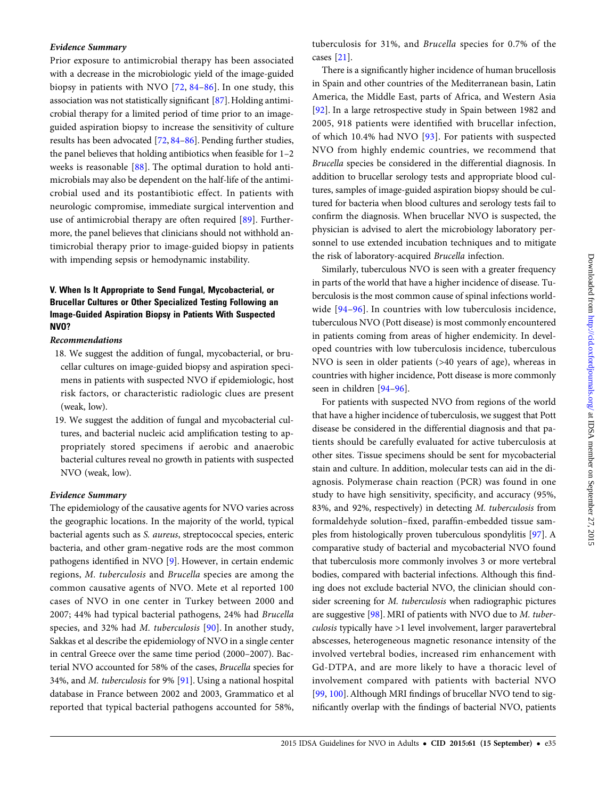#### Evidence Summary

Prior exposure to antimicrobial therapy has been associated with a decrease in the microbiologic yield of the image-guided biopsy in patients with NVO [\[72,](#page-18-0) [84](#page-19-0)–[86\]](#page-19-0). In one study, this association was not statistically significant [[87\]](#page-19-0).Holding antimicrobial therapy for a limited period of time prior to an imageguided aspiration biopsy to increase the sensitivity of culture results has been advocated [\[72,](#page-18-0) [84](#page-19-0)–[86](#page-19-0)]. Pending further studies, the panel believes that holding antibiotics when feasible for 1–2 weeks is reasonable [[88](#page-19-0)]. The optimal duration to hold antimicrobials may also be dependent on the half-life of the antimicrobial used and its postantibiotic effect. In patients with neurologic compromise, immediate surgical intervention and use of antimicrobial therapy are often required [[89](#page-19-0)]. Furthermore, the panel believes that clinicians should not withhold antimicrobial therapy prior to image-guided biopsy in patients with impending sepsis or hemodynamic instability.

## V. When Is It Appropriate to Send Fungal, Mycobacterial, or Brucellar Cultures or Other Specialized Testing Following an Image-Guided Aspiration Biopsy in Patients With Suspected NVO?

#### Recommendations

- 18. We suggest the addition of fungal, mycobacterial, or brucellar cultures on image-guided biopsy and aspiration specimens in patients with suspected NVO if epidemiologic, host risk factors, or characteristic radiologic clues are present (weak, low).
- 19. We suggest the addition of fungal and mycobacterial cultures, and bacterial nucleic acid amplification testing to appropriately stored specimens if aerobic and anaerobic bacterial cultures reveal no growth in patients with suspected NVO (weak, low).

#### Evidence Summary

The epidemiology of the causative agents for NVO varies across the geographic locations. In the majority of the world, typical bacterial agents such as S. aureus, streptococcal species, enteric bacteria, and other gram-negative rods are the most common pathogens identified in NVO [[9\]](#page-17-0). However, in certain endemic regions, M. tuberculosis and Brucella species are among the common causative agents of NVO. Mete et al reported 100 cases of NVO in one center in Turkey between 2000 and 2007; 44% had typical bacterial pathogens, 24% had Brucella species, and 32% had *M. tuberculosis* [\[90\]](#page-19-0). In another study, Sakkas et al describe the epidemiology of NVO in a single center in central Greece over the same time period (2000–2007). Bacterial NVO accounted for 58% of the cases, Brucella species for 34%, and M. tuberculosis for 9% [[91\]](#page-19-0). Using a national hospital database in France between 2002 and 2003, Grammatico et al reported that typical bacterial pathogens accounted for 58%, tuberculosis for 31%, and Brucella species for 0.7% of the cases [\[21](#page-17-0)].

There is a significantly higher incidence of human brucellosis in Spain and other countries of the Mediterranean basin, Latin America, the Middle East, parts of Africa, and Western Asia [\[92](#page-19-0)]. In a large retrospective study in Spain between 1982 and 2005, 918 patients were identified with brucellar infection, of which 10.4% had NVO [[93](#page-19-0)]. For patients with suspected NVO from highly endemic countries, we recommend that Brucella species be considered in the differential diagnosis. In addition to brucellar serology tests and appropriate blood cultures, samples of image-guided aspiration biopsy should be cultured for bacteria when blood cultures and serology tests fail to confirm the diagnosis. When brucellar NVO is suspected, the physician is advised to alert the microbiology laboratory personnel to use extended incubation techniques and to mitigate the risk of laboratory-acquired Brucella infection.

Similarly, tuberculous NVO is seen with a greater frequency in parts of the world that have a higher incidence of disease. Tuberculosis is the most common cause of spinal infections world-wide [\[94](#page-19-0)–[96](#page-19-0)]. In countries with low tuberculosis incidence, tuberculous NVO (Pott disease) is most commonly encountered in patients coming from areas of higher endemicity. In developed countries with low tuberculosis incidence, tuberculous NVO is seen in older patients (>40 years of age), whereas in countries with higher incidence, Pott disease is more commonly seen in children [\[94](#page-19-0)–[96](#page-19-0)].

For patients with suspected NVO from regions of the world that have a higher incidence of tuberculosis, we suggest that Pott disease be considered in the differential diagnosis and that patients should be carefully evaluated for active tuberculosis at other sites. Tissue specimens should be sent for mycobacterial stain and culture. In addition, molecular tests can aid in the diagnosis. Polymerase chain reaction (PCR) was found in one study to have high sensitivity, specificity, and accuracy (95%, 83%, and 92%, respectively) in detecting M. tuberculosis from formaldehyde solution–fixed, paraffin-embedded tissue samples from histologically proven tuberculous spondylitis [[97\]](#page-19-0). A comparative study of bacterial and mycobacterial NVO found that tuberculosis more commonly involves 3 or more vertebral bodies, compared with bacterial infections. Although this finding does not exclude bacterial NVO, the clinician should consider screening for *M. tuberculosis* when radiographic pictures are suggestive [\[98](#page-19-0)]. MRI of patients with NVO due to M. tuberculosis typically have >1 level involvement, larger paravertebral abscesses, heterogeneous magnetic resonance intensity of the involved vertebral bodies, increased rim enhancement with Gd-DTPA, and are more likely to have a thoracic level of involvement compared with patients with bacterial NVO [\[99](#page-19-0), [100](#page-19-0)]. Although MRI findings of brucellar NVO tend to significantly overlap with the findings of bacterial NVO, patients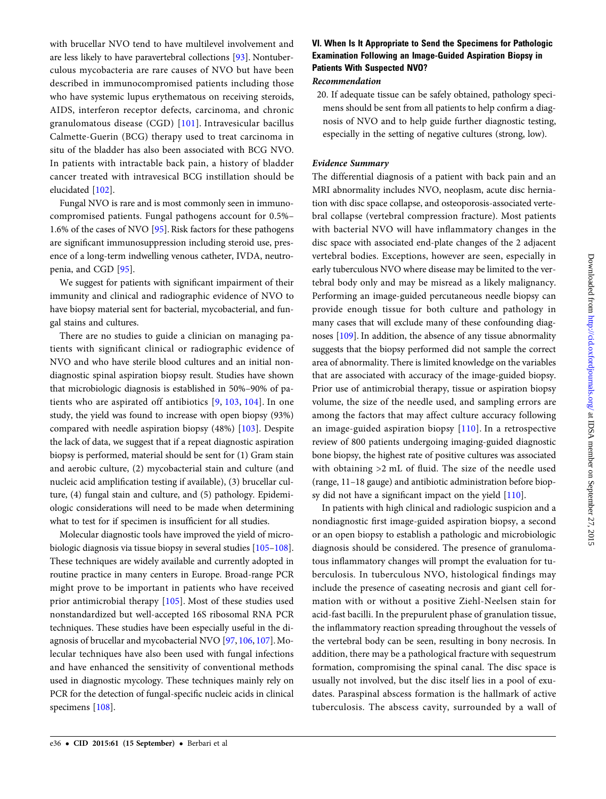with brucellar NVO tend to have multilevel involvement and are less likely to have paravertebral collections [\[93](#page-19-0)]. Nontuberculous mycobacteria are rare causes of NVO but have been described in immunocompromised patients including those who have systemic lupus erythematous on receiving steroids, AIDS, interferon receptor defects, carcinoma, and chronic granulomatous disease (CGD) [[101\]](#page-19-0). Intravesicular bacillus Calmette-Guerin (BCG) therapy used to treat carcinoma in situ of the bladder has also been associated with BCG NVO. In patients with intractable back pain, a history of bladder cancer treated with intravesical BCG instillation should be elucidated [\[102](#page-19-0)].

Fungal NVO is rare and is most commonly seen in immunocompromised patients. Fungal pathogens account for 0.5%– 1.6% of the cases of NVO [[95\]](#page-19-0). Risk factors for these pathogens are significant immunosuppression including steroid use, presence of a long-term indwelling venous catheter, IVDA, neutropenia, and CGD [[95\]](#page-19-0).

We suggest for patients with significant impairment of their immunity and clinical and radiographic evidence of NVO to have biopsy material sent for bacterial, mycobacterial, and fungal stains and cultures.

There are no studies to guide a clinician on managing patients with significant clinical or radiographic evidence of NVO and who have sterile blood cultures and an initial nondiagnostic spinal aspiration biopsy result. Studies have shown that microbiologic diagnosis is established in 50%–90% of patients who are aspirated off antibiotics [[9](#page-17-0), [103,](#page-19-0) [104\]](#page-19-0). In one study, the yield was found to increase with open biopsy (93%) compared with needle aspiration biopsy (48%) [[103](#page-19-0)]. Despite the lack of data, we suggest that if a repeat diagnostic aspiration biopsy is performed, material should be sent for (1) Gram stain and aerobic culture, (2) mycobacterial stain and culture (and nucleic acid amplification testing if available), (3) brucellar culture, (4) fungal stain and culture, and (5) pathology. Epidemiologic considerations will need to be made when determining what to test for if specimen is insufficient for all studies.

Molecular diagnostic tools have improved the yield of microbiologic diagnosis via tissue biopsy in several studies [\[105](#page-19-0)–[108\]](#page-19-0). These techniques are widely available and currently adopted in routine practice in many centers in Europe. Broad-range PCR might prove to be important in patients who have received prior antimicrobial therapy [\[105](#page-19-0)]. Most of these studies used nonstandardized but well-accepted 16S ribosomal RNA PCR techniques. These studies have been especially useful in the diagnosis of brucellar and mycobacterial NVO [\[97](#page-19-0), [106,](#page-19-0) [107\]](#page-19-0). Molecular techniques have also been used with fungal infections and have enhanced the sensitivity of conventional methods used in diagnostic mycology. These techniques mainly rely on PCR for the detection of fungal-specific nucleic acids in clinical specimens [\[108\]](#page-19-0).

# VI. When Is It Appropriate to Send the Specimens for Pathologic Examination Following an Image-Guided Aspiration Biopsy in Patients With Suspected NVO?

#### Recommendation

20. If adequate tissue can be safely obtained, pathology specimens should be sent from all patients to help confirm a diagnosis of NVO and to help guide further diagnostic testing, especially in the setting of negative cultures (strong, low).

#### Evidence Summary

The differential diagnosis of a patient with back pain and an MRI abnormality includes NVO, neoplasm, acute disc herniation with disc space collapse, and osteoporosis-associated vertebral collapse (vertebral compression fracture). Most patients with bacterial NVO will have inflammatory changes in the disc space with associated end-plate changes of the 2 adjacent vertebral bodies. Exceptions, however are seen, especially in early tuberculous NVO where disease may be limited to the vertebral body only and may be misread as a likely malignancy. Performing an image-guided percutaneous needle biopsy can provide enough tissue for both culture and pathology in many cases that will exclude many of these confounding diagnoses [[109](#page-19-0)]. In addition, the absence of any tissue abnormality suggests that the biopsy performed did not sample the correct area of abnormality. There is limited knowledge on the variables that are associated with accuracy of the image-guided biopsy. Prior use of antimicrobial therapy, tissue or aspiration biopsy volume, the size of the needle used, and sampling errors are among the factors that may affect culture accuracy following an image-guided aspiration biopsy [[110](#page-19-0)]. In a retrospective review of 800 patients undergoing imaging-guided diagnostic bone biopsy, the highest rate of positive cultures was associated with obtaining >2 mL of fluid. The size of the needle used (range, 11–18 gauge) and antibiotic administration before biopsy did not have a significant impact on the yield [[110](#page-19-0)].

In patients with high clinical and radiologic suspicion and a nondiagnostic first image-guided aspiration biopsy, a second or an open biopsy to establish a pathologic and microbiologic diagnosis should be considered. The presence of granulomatous inflammatory changes will prompt the evaluation for tuberculosis. In tuberculous NVO, histological findings may include the presence of caseating necrosis and giant cell formation with or without a positive Ziehl-Neelsen stain for acid-fast bacilli. In the prepurulent phase of granulation tissue, the inflammatory reaction spreading throughout the vessels of the vertebral body can be seen, resulting in bony necrosis. In addition, there may be a pathological fracture with sequestrum formation, compromising the spinal canal. The disc space is usually not involved, but the disc itself lies in a pool of exudates. Paraspinal abscess formation is the hallmark of active tuberculosis. The abscess cavity, surrounded by a wall of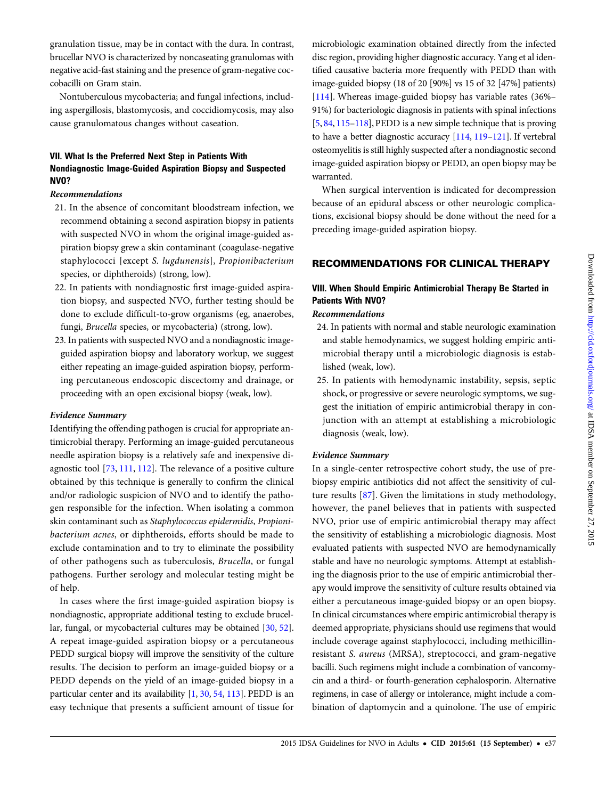granulation tissue, may be in contact with the dura. In contrast, brucellar NVO is characterized by noncaseating granulomas with negative acid-fast staining and the presence of gram-negative coccobacilli on Gram stain.

Nontuberculous mycobacteria; and fungal infections, including aspergillosis, blastomycosis, and coccidiomycosis, may also cause granulomatous changes without caseation.

# VII. What Is the Preferred Next Step in Patients With Nondiagnostic Image-Guided Aspiration Biopsy and Suspected NVO?

#### Recommendations

- 21. In the absence of concomitant bloodstream infection, we recommend obtaining a second aspiration biopsy in patients with suspected NVO in whom the original image-guided aspiration biopsy grew a skin contaminant (coagulase-negative staphylococci [except S. lugdunensis], Propionibacterium species, or diphtheroids) (strong, low).
- 22. In patients with nondiagnostic first image-guided aspiration biopsy, and suspected NVO, further testing should be done to exclude difficult-to-grow organisms (eg, anaerobes, fungi, Brucella species, or mycobacteria) (strong, low).
- 23. In patients with suspected NVO and a nondiagnostic imageguided aspiration biopsy and laboratory workup, we suggest either repeating an image-guided aspiration biopsy, performing percutaneous endoscopic discectomy and drainage, or proceeding with an open excisional biopsy (weak, low).

#### Evidence Summary

Identifying the offending pathogen is crucial for appropriate antimicrobial therapy. Performing an image-guided percutaneous needle aspiration biopsy is a relatively safe and inexpensive diagnostic tool [[73,](#page-18-0) [111,](#page-19-0) [112](#page-19-0)]. The relevance of a positive culture obtained by this technique is generally to confirm the clinical and/or radiologic suspicion of NVO and to identify the pathogen responsible for the infection. When isolating a common skin contaminant such as Staphylococcus epidermidis, Propionibacterium acnes, or diphtheroids, efforts should be made to exclude contamination and to try to eliminate the possibility of other pathogens such as tuberculosis, Brucella, or fungal pathogens. Further serology and molecular testing might be of help.

In cases where the first image-guided aspiration biopsy is nondiagnostic, appropriate additional testing to exclude brucellar, fungal, or mycobacterial cultures may be obtained [\[30](#page-17-0), [52\]](#page-18-0). A repeat image-guided aspiration biopsy or a percutaneous PEDD surgical biopsy will improve the sensitivity of the culture results. The decision to perform an image-guided biopsy or a PEDD depends on the yield of an image-guided biopsy in a particular center and its availability [\[1,](#page-17-0) [30,](#page-17-0) [54,](#page-18-0) [113\]](#page-19-0). PEDD is an easy technique that presents a sufficient amount of tissue for

microbiologic examination obtained directly from the infected disc region, providing higher diagnostic accuracy. Yang et al identified causative bacteria more frequently with PEDD than with image-guided biopsy (18 of 20 [90%] vs 15 of 32 [47%] patients) [\[114\]](#page-19-0). Whereas image-guided biopsy has variable rates (36%– 91%) for bacteriologic diagnosis in patients with spinal infections [\[5,](#page-17-0) [84](#page-19-0), [115](#page-19-0)–[118](#page-19-0)], PEDD is a new simple technique that is proving to have a better diagnostic accuracy [[114](#page-19-0), [119](#page-19-0)–[121](#page-19-0)]. If vertebral osteomyelitis is still highly suspected after a nondiagnostic second image-guided aspiration biopsy or PEDD, an open biopsy may be warranted.

When surgical intervention is indicated for decompression because of an epidural abscess or other neurologic complications, excisional biopsy should be done without the need for a preceding image-guided aspiration biopsy.

## RECOMMENDATIONS FOR CLINICAL THERAPY

# VIII. When Should Empiric Antimicrobial Therapy Be Started in Patients With NVO?

## Recommendations

- 24. In patients with normal and stable neurologic examination and stable hemodynamics, we suggest holding empiric antimicrobial therapy until a microbiologic diagnosis is established (weak, low).
- 25. In patients with hemodynamic instability, sepsis, septic shock, or progressive or severe neurologic symptoms, we suggest the initiation of empiric antimicrobial therapy in conjunction with an attempt at establishing a microbiologic diagnosis (weak, low).

#### Evidence Summary

In a single-center retrospective cohort study, the use of prebiopsy empiric antibiotics did not affect the sensitivity of culture results [\[87\]](#page-19-0). Given the limitations in study methodology, however, the panel believes that in patients with suspected NVO, prior use of empiric antimicrobial therapy may affect the sensitivity of establishing a microbiologic diagnosis. Most evaluated patients with suspected NVO are hemodynamically stable and have no neurologic symptoms. Attempt at establishing the diagnosis prior to the use of empiric antimicrobial therapy would improve the sensitivity of culture results obtained via either a percutaneous image-guided biopsy or an open biopsy. In clinical circumstances where empiric antimicrobial therapy is deemed appropriate, physicians should use regimens that would include coverage against staphylococci, including methicillinresistant S. aureus (MRSA), streptococci, and gram-negative bacilli. Such regimens might include a combination of vancomycin and a third- or fourth-generation cephalosporin. Alternative regimens, in case of allergy or intolerance, might include a combination of daptomycin and a quinolone. The use of empiric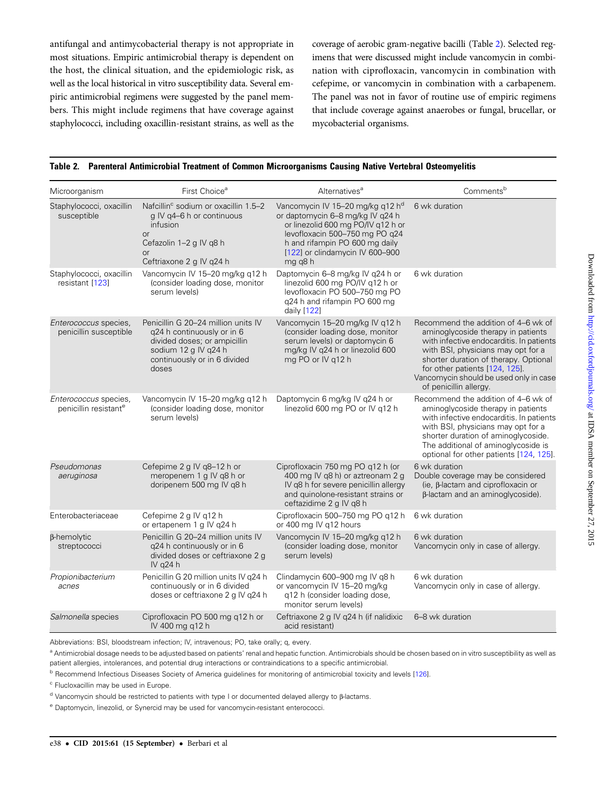<span id="page-12-0"></span>antifungal and antimycobacterial therapy is not appropriate in most situations. Empiric antimicrobial therapy is dependent on the host, the clinical situation, and the epidemiologic risk, as well as the local historical in vitro susceptibility data. Several empiric antimicrobial regimens were suggested by the panel members. This might include regimens that have coverage against staphylococci, including oxacillin-resistant strains, as well as the coverage of aerobic gram-negative bacilli (Table 2). Selected regimens that were discussed might include vancomycin in combination with ciprofloxacin, vancomycin in combination with cefepime, or vancomycin in combination with a carbapenem. The panel was not in favor of routine use of empiric regimens that include coverage against anaerobes or fungal, brucellar, or mycobacterial organisms.



| Microorganism                                              | First Choice <sup>a</sup>                                                                                                                                                  | Alternatives <sup>a</sup>                                                                                                                                                                                                    | Commentsb                                                                                                                                                                                                                                                                                                  |
|------------------------------------------------------------|----------------------------------------------------------------------------------------------------------------------------------------------------------------------------|------------------------------------------------------------------------------------------------------------------------------------------------------------------------------------------------------------------------------|------------------------------------------------------------------------------------------------------------------------------------------------------------------------------------------------------------------------------------------------------------------------------------------------------------|
| Staphylococci, oxacillin<br>susceptible                    | Nafcillin <sup>c</sup> sodium or oxacillin 1.5-2<br>g IV q4-6 h or continuous<br>infusion<br><b>or</b><br>Cefazolin 1-2 g IV q8 h<br><b>or</b><br>Ceftriaxone 2 g IV q24 h | Vancomycin IV 15-20 mg/kg q12 hd<br>or daptomycin 6-8 mg/kg IV g24 h<br>or linezolid 600 mg PO/IV q12 h or<br>levofloxacin 500-750 mg PO q24<br>h and rifampin PO 600 mg daily<br>[122] or clindamycin IV 600-900<br>mg q8 h | 6 wk duration                                                                                                                                                                                                                                                                                              |
| Staphylococci, oxacillin<br>resistant [123]                | Vancomycin IV 15-20 mg/kg q12 h<br>(consider loading dose, monitor<br>serum levels)                                                                                        | Daptomycin 6-8 mg/kg IV q24 h or<br>linezolid 600 mg PO/IV q12 h or<br>levofloxacin PO 500-750 mg PO<br>q24 h and rifampin PO 600 mg<br>daily [122]                                                                          | 6 wk duration                                                                                                                                                                                                                                                                                              |
| Enterococcus species,<br>penicillin susceptible            | Penicillin G 20-24 million units IV<br>q24 h continuously or in 6<br>divided doses; or ampicillin<br>sodium 12 g IV q24 h<br>continuously or in 6 divided<br>doses         | Vancomycin 15-20 mg/kg IV q12 h<br>(consider loading dose, monitor<br>serum levels) or daptomycin 6<br>mg/kg IV q24 h or linezolid 600<br>mg PO or IV g12 h                                                                  | Recommend the addition of 4–6 wk of<br>aminoglycoside therapy in patients<br>with infective endocarditis. In patients<br>with BSI, physicians may opt for a<br>shorter duration of therapy. Optional<br>for other patients [124, 125].<br>Vancomycin should be used only in case<br>of penicillin allergy. |
| Enterococcus species,<br>penicillin resistant <sup>e</sup> | Vancomycin IV 15-20 mg/kg q12 h<br>(consider loading dose, monitor<br>serum levels)                                                                                        | Daptomycin 6 mg/kg IV q24 h or<br>linezolid 600 mg PO or IV q12 h                                                                                                                                                            | Recommend the addition of 4-6 wk of<br>aminoglycoside therapy in patients<br>with infective endocarditis. In patients<br>with BSI, physicians may opt for a<br>shorter duration of aminoglycoside.<br>The additional of aminoglycoside is<br>optional for other patients [124, 125].                       |
| Pseudomonas<br>aeruginosa                                  | Cefepime 2 g IV q8-12 h or<br>meropenem 1 g IV g8 h or<br>doripenem 500 mg IV q8 h                                                                                         | Ciprofloxacin 750 mg PO g12 h (or<br>400 mg IV q8 h) or aztreonam 2 g<br>IV q8 h for severe penicillin allergy<br>and quinolone-resistant strains or<br>ceftazidime 2 g IV q8 h                                              | 6 wk duration<br>Double coverage may be considered<br>(ie, β-lactam and ciprofloxacin or<br>β-lactam and an aminoglycoside).                                                                                                                                                                               |
| Enterobacteriaceae                                         | Cefepime 2 g IV q12 h<br>or ertapenem 1 g IV q24 h                                                                                                                         | Ciprofloxacin 500-750 mg PO q12 h<br>or 400 mg IV q12 hours                                                                                                                                                                  | 6 wk duration                                                                                                                                                                                                                                                                                              |
| β-hemolytic<br>streptococci                                | Penicillin G 20-24 million units IV<br>g24 h continuously or in 6<br>divided doses or ceftriaxone 2 g<br>IV q24 h                                                          | Vancomycin IV 15-20 mg/kg q12 h<br>(consider loading dose, monitor<br>serum levels)                                                                                                                                          | 6 wk duration<br>Vancomycin only in case of allergy.                                                                                                                                                                                                                                                       |
| Propionibacterium<br>acnes                                 | Penicillin G 20 million units IV q24 h<br>continuously or in 6 divided<br>doses or ceftriaxone 2 g IV q24 h                                                                | Clindamycin 600-900 mg IV q8 h<br>or vancomycin IV 15-20 mg/kg<br>q12 h (consider loading dose,<br>monitor serum levels)                                                                                                     | 6 wk duration<br>Vancomycin only in case of allergy.                                                                                                                                                                                                                                                       |
| Salmonella species                                         | Ciprofloxacin PO 500 mg q12 h or<br>IV 400 mg q12 h                                                                                                                        | Ceftriaxone 2 g IV q24 h (if nalidixic<br>acid resistant)                                                                                                                                                                    | 6-8 wk duration                                                                                                                                                                                                                                                                                            |

Abbreviations: BSI, bloodstream infection; IV, intravenous; PO, take orally; q, every.

a Antimicrobial dosage needs to be adjusted based on patients' renal and hepatic function. Antimicrobials should be chosen based on in vitro susceptibility as well as patient allergies, intolerances, and potential drug interactions or contraindications to a specific antimicrobial.

<sup>b</sup> Recommend Infectious Diseases Society of America guidelines for monitoring of antimicrobial toxicity and levels [[126](#page-20-0)].

<sup>c</sup> Flucloxacillin may be used in Europe.

<sup>d</sup> Vancomycin should be restricted to patients with type I or documented delayed allergy to β-lactams.

<sup>e</sup> Daptomycin, linezolid, or Synercid may be used for vancomycin-resistant enterococci.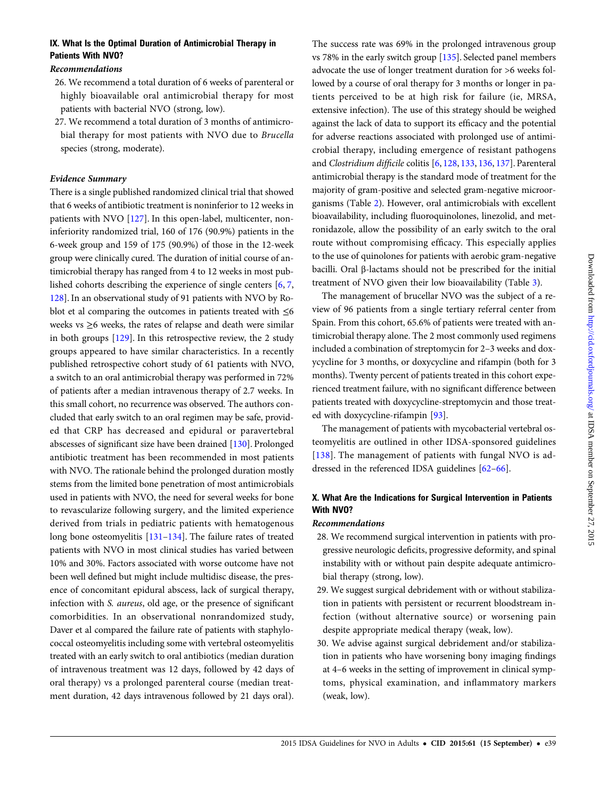# IX. What Is the Optimal Duration of Antimicrobial Therapy in Patients With NVO?

#### Recommendations

- 26. We recommend a total duration of 6 weeks of parenteral or highly bioavailable oral antimicrobial therapy for most patients with bacterial NVO (strong, low).
- 27. We recommend a total duration of 3 months of antimicrobial therapy for most patients with NVO due to Brucella species (strong, moderate).

#### Evidence Summary

There is a single published randomized clinical trial that showed that 6 weeks of antibiotic treatment is noninferior to 12 weeks in patients with NVO [[127](#page-20-0)]. In this open-label, multicenter, noninferiority randomized trial, 160 of 176 (90.9%) patients in the 6-week group and 159 of 175 (90.9%) of those in the 12-week group were clinically cured. The duration of initial course of antimicrobial therapy has ranged from 4 to 12 weeks in most published cohorts describing the experience of single centers [[6](#page-17-0), [7,](#page-17-0) [128\]](#page-20-0). In an observational study of 91 patients with NVO by Roblot et al comparing the outcomes in patients treated with  $\leq 6$ weeks vs ≥6 weeks, the rates of relapse and death were similar in both groups [[129\]](#page-20-0). In this retrospective review, the 2 study groups appeared to have similar characteristics. In a recently published retrospective cohort study of 61 patients with NVO, a switch to an oral antimicrobial therapy was performed in 72% of patients after a median intravenous therapy of 2.7 weeks. In this small cohort, no recurrence was observed. The authors concluded that early switch to an oral regimen may be safe, provided that CRP has decreased and epidural or paravertebral abscesses of significant size have been drained [\[130\]](#page-20-0). Prolonged antibiotic treatment has been recommended in most patients with NVO. The rationale behind the prolonged duration mostly stems from the limited bone penetration of most antimicrobials used in patients with NVO, the need for several weeks for bone to revascularize following surgery, and the limited experience derived from trials in pediatric patients with hematogenous long bone osteomyelitis [[131](#page-20-0)–[134](#page-20-0)]. The failure rates of treated patients with NVO in most clinical studies has varied between 10% and 30%. Factors associated with worse outcome have not been well defined but might include multidisc disease, the presence of concomitant epidural abscess, lack of surgical therapy, infection with S. aureus, old age, or the presence of significant comorbidities. In an observational nonrandomized study, Daver et al compared the failure rate of patients with staphylococcal osteomyelitis including some with vertebral osteomyelitis treated with an early switch to oral antibiotics (median duration of intravenous treatment was 12 days, followed by 42 days of oral therapy) vs a prolonged parenteral course (median treatment duration, 42 days intravenous followed by 21 days oral).

The success rate was 69% in the prolonged intravenous group vs 78% in the early switch group [[135](#page-20-0)]. Selected panel members advocate the use of longer treatment duration for >6 weeks followed by a course of oral therapy for 3 months or longer in patients perceived to be at high risk for failure (ie, MRSA, extensive infection). The use of this strategy should be weighed against the lack of data to support its efficacy and the potential for adverse reactions associated with prolonged use of antimicrobial therapy, including emergence of resistant pathogens and Clostridium difficile colitis [\[6,](#page-17-0) [128](#page-20-0), [133](#page-20-0), [136,](#page-20-0) [137\]](#page-20-0). Parenteral antimicrobial therapy is the standard mode of treatment for the majority of gram-positive and selected gram-negative microorganisms (Table [2](#page-12-0)). However, oral antimicrobials with excellent bioavailability, including fluoroquinolones, linezolid, and metronidazole, allow the possibility of an early switch to the oral route without compromising efficacy. This especially applies to the use of quinolones for patients with aerobic gram-negative bacilli. Oral β-lactams should not be prescribed for the initial treatment of NVO given their low bioavailability (Table [3](#page-14-0)).

The management of brucellar NVO was the subject of a review of 96 patients from a single tertiary referral center from Spain. From this cohort, 65.6% of patients were treated with antimicrobial therapy alone. The 2 most commonly used regimens included a combination of streptomycin for 2–3 weeks and doxycycline for 3 months, or doxycycline and rifampin (both for 3 months). Twenty percent of patients treated in this cohort experienced treatment failure, with no significant difference between patients treated with doxycycline-streptomycin and those treated with doxycycline-rifampin [[93\]](#page-19-0).

The management of patients with mycobacterial vertebral osteomyelitis are outlined in other IDSA-sponsored guidelines [\[138\]](#page-20-0). The management of patients with fungal NVO is addressed in the referenced IDSA guidelines [\[62](#page-18-0)–[66](#page-18-0)].

# X. What Are the Indications for Surgical Intervention in Patients With NVO?

- 28. We recommend surgical intervention in patients with progressive neurologic deficits, progressive deformity, and spinal instability with or without pain despite adequate antimicrobial therapy (strong, low).
- 29. We suggest surgical debridement with or without stabilization in patients with persistent or recurrent bloodstream infection (without alternative source) or worsening pain despite appropriate medical therapy (weak, low).
- 30. We advise against surgical debridement and/or stabilization in patients who have worsening bony imaging findings at 4–6 weeks in the setting of improvement in clinical symptoms, physical examination, and inflammatory markers (weak, low).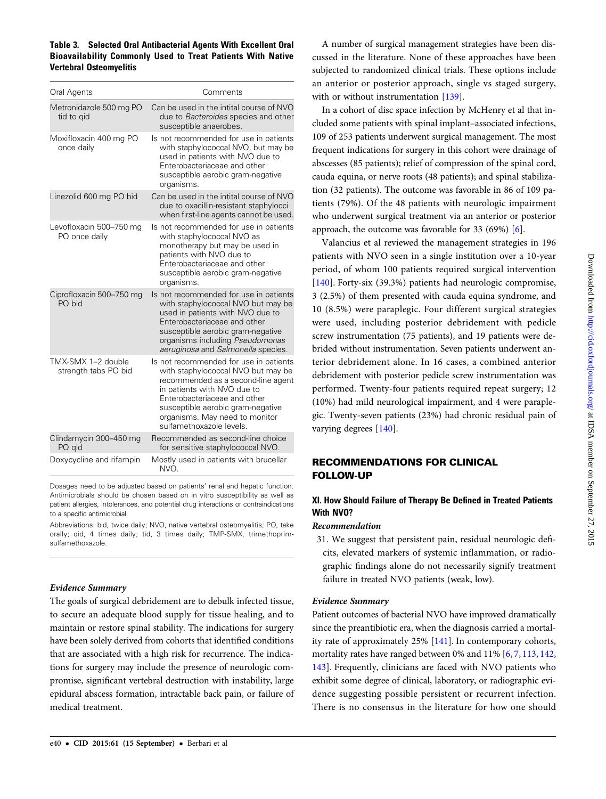<span id="page-14-0"></span>Table 3. Selected Oral Antibacterial Agents With Excellent Oral Bioavailability Commonly Used to Treat Patients With Native Vertebral Osteomyelitis

| Oral Agents                                | Comments                                                                                                                                                                                                                                                                             |  |
|--------------------------------------------|--------------------------------------------------------------------------------------------------------------------------------------------------------------------------------------------------------------------------------------------------------------------------------------|--|
| Metronidazole 500 mg PO<br>tid to gid      | Can be used in the intital course of NVO<br>due to Bacteroides species and other<br>susceptible anaerobes.                                                                                                                                                                           |  |
| Moxifloxacin 400 mg PO<br>once daily       | Is not recommended for use in patients<br>with staphylococcal NVO, but may be<br>used in patients with NVO due to<br>Enterobacteriaceae and other<br>susceptible aerobic gram-negative<br>organisms.                                                                                 |  |
| Linezolid 600 mg PO bid                    | Can be used in the intital course of NVO<br>due to oxacillin-resistant staphylocci<br>when first-line agents cannot be used.                                                                                                                                                         |  |
| Levofloxacin 500-750 mg<br>PO once daily   | Is not recommended for use in patients<br>with staphylococcal NVO as<br>monotherapy but may be used in<br>patients with NVO due to<br>Enterobacteriaceae and other<br>susceptible aerobic gram-negative<br>organisms.                                                                |  |
| Ciprofloxacin 500-750 mg<br>PO hid         | Is not recommended for use in patients<br>with staphylococcal NVO but may be<br>used in patients with NVO due to<br>Enterobacteriaceae and other<br>susceptible aerobic gram-negative<br>organisms including Pseudomonas<br>aeruginosa and Salmonella species.                       |  |
| TMX-SMX 1-2 double<br>strength tabs PO bid | Is not recommended for use in patients<br>with staphylococcal NVO but may be<br>recommended as a second-line agent<br>in patients with NVO due to<br>Enterobacteriaceae and other<br>susceptible aerobic gram-negative<br>organisms. May need to monitor<br>sulfamethoxazole levels. |  |
| Clindamycin 300-450 mg<br>PO gid           | Recommended as second-line choice<br>for sensitive staphylococcal NVO.                                                                                                                                                                                                               |  |
| Doxycycline and rifampin                   | Mostly used in patients with brucellar<br>NVO.                                                                                                                                                                                                                                       |  |

Dosages need to be adjusted based on patients' renal and hepatic function. Antimicrobials should be chosen based on in vitro susceptibility as well as patient allergies, intolerances, and potential drug interactions or contraindications to a specific antimicrobial.

Abbreviations: bid, twice daily; NVO, native vertebral osteomyelitis; PO, take orally; qid, 4 times daily; tid, 3 times daily; TMP-SMX, trimethoprimsulfamethoxazole.

#### Evidence Summary

The goals of surgical debridement are to debulk infected tissue, to secure an adequate blood supply for tissue healing, and to maintain or restore spinal stability. The indications for surgery have been solely derived from cohorts that identified conditions that are associated with a high risk for recurrence. The indications for surgery may include the presence of neurologic compromise, significant vertebral destruction with instability, large epidural abscess formation, intractable back pain, or failure of medical treatment.

cluded some patients with spinal implant–associated infections, 109 of 253 patients underwent surgical management. The most frequent indications for surgery in this cohort were drainage of abscesses (85 patients); relief of compression of the spinal cord, cauda equina, or nerve roots (48 patients); and spinal stabilization (32 patients). The outcome was favorable in 86 of 109 patients (79%). Of the 48 patients with neurologic impairment who underwent surgical treatment via an anterior or posterior approach, the outcome was favorable for 33 (69%) [[6](#page-17-0)].

A number of surgical management strategies have been discussed in the literature. None of these approaches have been

Valancius et al reviewed the management strategies in 196 patients with NVO seen in a single institution over a 10-year period, of whom 100 patients required surgical intervention [\[140](#page-20-0)]. Forty-six (39.3%) patients had neurologic compromise, 3 (2.5%) of them presented with cauda equina syndrome, and 10 (8.5%) were paraplegic. Four different surgical strategies were used, including posterior debridement with pedicle screw instrumentation (75 patients), and 19 patients were debrided without instrumentation. Seven patients underwent anterior debridement alone. In 16 cases, a combined anterior debridement with posterior pedicle screw instrumentation was performed. Twenty-four patients required repeat surgery; 12 (10%) had mild neurological impairment, and 4 were paraplegic. Twenty-seven patients (23%) had chronic residual pain of varying degrees [\[140\]](#page-20-0).

# RECOMMENDATIONS FOR CLINICAL FOLLOW-UP

# XI. How Should Failure of Therapy Be Defined in Treated Patients With NVO?

## Recommendation

31. We suggest that persistent pain, residual neurologic deficits, elevated markers of systemic inflammation, or radiographic findings alone do not necessarily signify treatment failure in treated NVO patients (weak, low).

## Evidence Summary

Patient outcomes of bacterial NVO have improved dramatically since the preantibiotic era, when the diagnosis carried a mortality rate of approximately 25% [[141](#page-20-0)]. In contemporary cohorts, mortality rates have ranged between 0% and 11% [[6](#page-17-0), [7](#page-17-0), [113,](#page-19-0) [142,](#page-20-0) [143\]](#page-20-0). Frequently, clinicians are faced with NVO patients who exhibit some degree of clinical, laboratory, or radiographic evidence suggesting possible persistent or recurrent infection. There is no consensus in the literature for how one should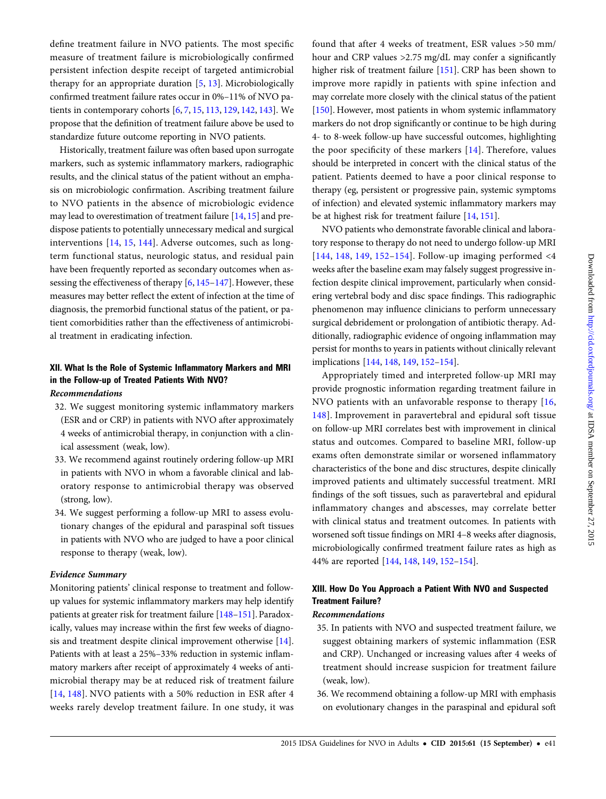define treatment failure in NVO patients. The most specific measure of treatment failure is microbiologically confirmed persistent infection despite receipt of targeted antimicrobial therapy for an appropriate duration  $[5, 13]$  $[5, 13]$  $[5, 13]$  $[5, 13]$ . Microbiologically confirmed treatment failure rates occur in 0%–11% of NVO patients in contemporary cohorts [\[6,](#page-17-0) [7,](#page-17-0) [15,](#page-17-0) [113](#page-19-0), [129,](#page-20-0) [142,](#page-20-0) [143](#page-20-0)]. We propose that the definition of treatment failure above be used to standardize future outcome reporting in NVO patients.

Historically, treatment failure was often based upon surrogate markers, such as systemic inflammatory markers, radiographic results, and the clinical status of the patient without an emphasis on microbiologic confirmation. Ascribing treatment failure to NVO patients in the absence of microbiologic evidence may lead to overestimation of treatment failure [[14,](#page-17-0) [15](#page-17-0)] and predispose patients to potentially unnecessary medical and surgical interventions [\[14,](#page-17-0) [15,](#page-17-0) [144](#page-20-0)]. Adverse outcomes, such as longterm functional status, neurologic status, and residual pain have been frequently reported as secondary outcomes when assessing the effectiveness of therapy [\[6,](#page-17-0) [145](#page-20-0)–[147](#page-20-0)]. However, these measures may better reflect the extent of infection at the time of diagnosis, the premorbid functional status of the patient, or patient comorbidities rather than the effectiveness of antimicrobial treatment in eradicating infection.

#### XII. What Is the Role of Systemic Inflammatory Markers and MRI in the Follow-up of Treated Patients With NVO? Recommendations

- 32. We suggest monitoring systemic inflammatory markers (ESR and or CRP) in patients with NVO after approximately 4 weeks of antimicrobial therapy, in conjunction with a clinical assessment (weak, low).
- 33. We recommend against routinely ordering follow-up MRI in patients with NVO in whom a favorable clinical and laboratory response to antimicrobial therapy was observed (strong, low).
- 34. We suggest performing a follow-up MRI to assess evolutionary changes of the epidural and paraspinal soft tissues in patients with NVO who are judged to have a poor clinical response to therapy (weak, low).

#### Evidence Summary

Monitoring patients' clinical response to treatment and followup values for systemic inflammatory markers may help identify patients at greater risk for treatment failure [[148](#page-20-0)–[151\]](#page-20-0). Paradoxically, values may increase within the first few weeks of diagnosis and treatment despite clinical improvement otherwise [\[14\]](#page-17-0). Patients with at least a 25%–33% reduction in systemic inflammatory markers after receipt of approximately 4 weeks of antimicrobial therapy may be at reduced risk of treatment failure [\[14,](#page-17-0) [148](#page-20-0)]. NVO patients with a 50% reduction in ESR after 4 weeks rarely develop treatment failure. In one study, it was found that after 4 weeks of treatment, ESR values >50 mm/ hour and CRP values >2.75 mg/dL may confer a significantly higher risk of treatment failure [\[151\]](#page-20-0). CRP has been shown to improve more rapidly in patients with spine infection and may correlate more closely with the clinical status of the patient [\[150\]](#page-20-0). However, most patients in whom systemic inflammatory markers do not drop significantly or continue to be high during 4- to 8-week follow-up have successful outcomes, highlighting the poor specificity of these markers [[14\]](#page-17-0). Therefore, values should be interpreted in concert with the clinical status of the patient. Patients deemed to have a poor clinical response to therapy (eg, persistent or progressive pain, systemic symptoms of infection) and elevated systemic inflammatory markers may be at highest risk for treatment failure [[14,](#page-17-0) [151](#page-20-0)].

NVO patients who demonstrate favorable clinical and laboratory response to therapy do not need to undergo follow-up MRI [\[144,](#page-20-0) [148](#page-20-0), [149](#page-20-0), [152](#page-20-0)–[154](#page-20-0)]. Follow-up imaging performed <4 weeks after the baseline exam may falsely suggest progressive infection despite clinical improvement, particularly when considering vertebral body and disc space findings. This radiographic phenomenon may influence clinicians to perform unnecessary surgical debridement or prolongation of antibiotic therapy. Additionally, radiographic evidence of ongoing inflammation may persist for months to years in patients without clinically relevant implications [[144](#page-20-0), [148](#page-20-0), [149](#page-20-0), [152](#page-20-0)–[154\]](#page-20-0).

Appropriately timed and interpreted follow-up MRI may provide prognostic information regarding treatment failure in NVO patients with an unfavorable response to therapy [\[16,](#page-17-0) [148](#page-20-0)]. Improvement in paravertebral and epidural soft tissue on follow-up MRI correlates best with improvement in clinical status and outcomes. Compared to baseline MRI, follow-up exams often demonstrate similar or worsened inflammatory characteristics of the bone and disc structures, despite clinically improved patients and ultimately successful treatment. MRI findings of the soft tissues, such as paravertebral and epidural inflammatory changes and abscesses, may correlate better with clinical status and treatment outcomes. In patients with worsened soft tissue findings on MRI 4–8 weeks after diagnosis, microbiologically confirmed treatment failure rates as high as 44% are reported [[144](#page-20-0), [148](#page-20-0), [149](#page-20-0), [152](#page-20-0)–[154](#page-20-0)].

## XIII. How Do You Approach a Patient With NVO and Suspected Treatment Failure?

- 35. In patients with NVO and suspected treatment failure, we suggest obtaining markers of systemic inflammation (ESR and CRP). Unchanged or increasing values after 4 weeks of treatment should increase suspicion for treatment failure (weak, low).
- 36. We recommend obtaining a follow-up MRI with emphasis on evolutionary changes in the paraspinal and epidural soft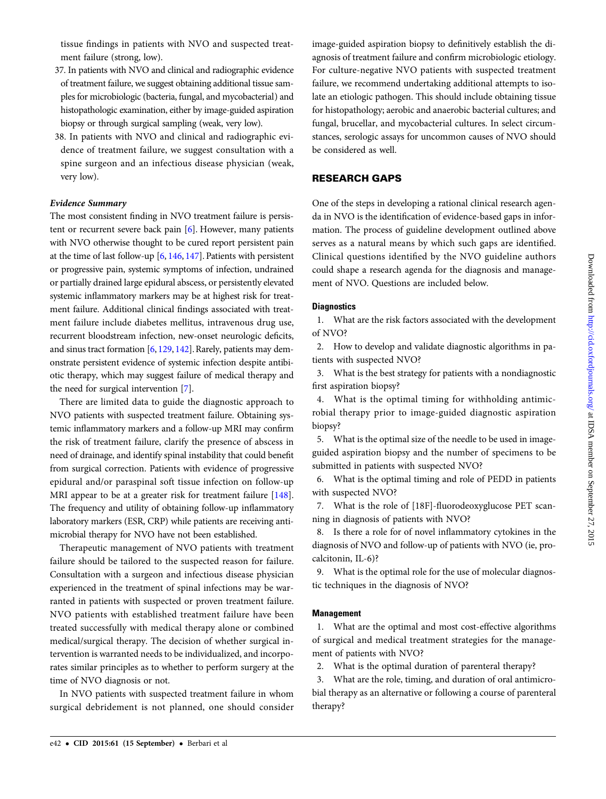tissue findings in patients with NVO and suspected treatment failure (strong, low).

- 37. In patients with NVO and clinical and radiographic evidence of treatment failure, we suggest obtaining additional tissue samples for microbiologic (bacteria, fungal, and mycobacterial) and histopathologic examination, either by image-guided aspiration biopsy or through surgical sampling (weak, very low).
- 38. In patients with NVO and clinical and radiographic evidence of treatment failure, we suggest consultation with a spine surgeon and an infectious disease physician (weak, very low).

#### Evidence Summary

The most consistent finding in NVO treatment failure is persistent or recurrent severe back pain [[6](#page-17-0)]. However, many patients with NVO otherwise thought to be cured report persistent pain at the time of last follow-up [[6](#page-17-0), [146](#page-20-0), [147](#page-20-0)]. Patients with persistent or progressive pain, systemic symptoms of infection, undrained or partially drained large epidural abscess, or persistently elevated systemic inflammatory markers may be at highest risk for treatment failure. Additional clinical findings associated with treatment failure include diabetes mellitus, intravenous drug use, recurrent bloodstream infection, new-onset neurologic deficits, and sinus tract formation [\[6,](#page-17-0) [129](#page-20-0), [142](#page-20-0)]. Rarely, patients may demonstrate persistent evidence of systemic infection despite antibiotic therapy, which may suggest failure of medical therapy and the need for surgical intervention [\[7\]](#page-17-0).

There are limited data to guide the diagnostic approach to NVO patients with suspected treatment failure. Obtaining systemic inflammatory markers and a follow-up MRI may confirm the risk of treatment failure, clarify the presence of abscess in need of drainage, and identify spinal instability that could benefit from surgical correction. Patients with evidence of progressive epidural and/or paraspinal soft tissue infection on follow-up MRI appear to be at a greater risk for treatment failure [[148\]](#page-20-0). The frequency and utility of obtaining follow-up inflammatory laboratory markers (ESR, CRP) while patients are receiving antimicrobial therapy for NVO have not been established.

Therapeutic management of NVO patients with treatment failure should be tailored to the suspected reason for failure. Consultation with a surgeon and infectious disease physician experienced in the treatment of spinal infections may be warranted in patients with suspected or proven treatment failure. NVO patients with established treatment failure have been treated successfully with medical therapy alone or combined medical/surgical therapy. The decision of whether surgical intervention is warranted needs to be individualized, and incorporates similar principles as to whether to perform surgery at the time of NVO diagnosis or not.

In NVO patients with suspected treatment failure in whom surgical debridement is not planned, one should consider

image-guided aspiration biopsy to definitively establish the diagnosis of treatment failure and confirm microbiologic etiology. For culture-negative NVO patients with suspected treatment failure, we recommend undertaking additional attempts to isolate an etiologic pathogen. This should include obtaining tissue for histopathology; aerobic and anaerobic bacterial cultures; and fungal, brucellar, and mycobacterial cultures. In select circumstances, serologic assays for uncommon causes of NVO should be considered as well.

## RESEARCH GAPS

One of the steps in developing a rational clinical research agenda in NVO is the identification of evidence-based gaps in information. The process of guideline development outlined above serves as a natural means by which such gaps are identified. Clinical questions identified by the NVO guideline authors could shape a research agenda for the diagnosis and management of NVO. Questions are included below.

#### **Diagnostics**

1. What are the risk factors associated with the development of NVO?

2. How to develop and validate diagnostic algorithms in patients with suspected NVO?

3. What is the best strategy for patients with a nondiagnostic first aspiration biopsy?

4. What is the optimal timing for withholding antimicrobial therapy prior to image-guided diagnostic aspiration biopsy?

5. What is the optimal size of the needle to be used in imageguided aspiration biopsy and the number of specimens to be submitted in patients with suspected NVO?

6. What is the optimal timing and role of PEDD in patients with suspected NVO?

7. What is the role of [18F]-fluorodeoxyglucose PET scanning in diagnosis of patients with NVO?

8. Is there a role for of novel inflammatory cytokines in the diagnosis of NVO and follow-up of patients with NVO (ie, procalcitonin, IL-6)?

9. What is the optimal role for the use of molecular diagnostic techniques in the diagnosis of NVO?

#### Management

1. What are the optimal and most cost-effective algorithms of surgical and medical treatment strategies for the management of patients with NVO?

2. What is the optimal duration of parenteral therapy?

3. What are the role, timing, and duration of oral antimicrobial therapy as an alternative or following a course of parenteral therapy?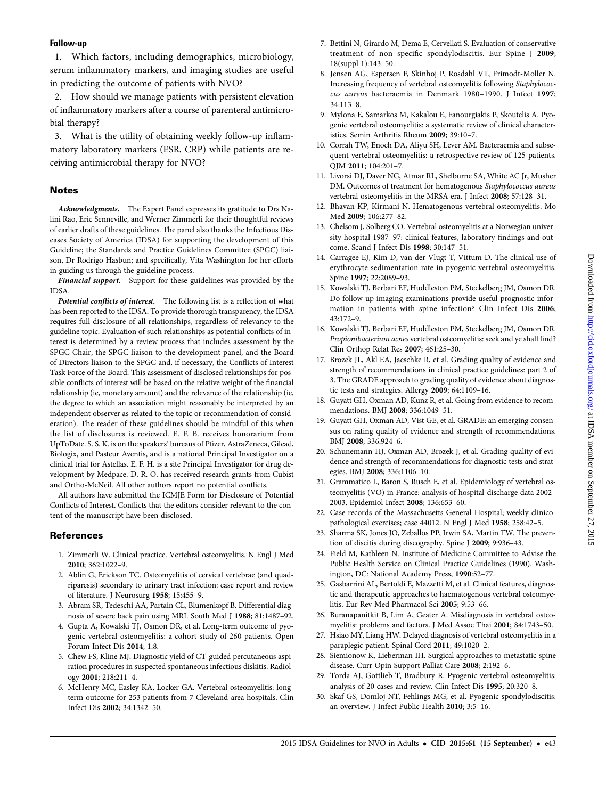#### <span id="page-17-0"></span>Follow-up

1. Which factors, including demographics, microbiology, serum inflammatory markers, and imaging studies are useful in predicting the outcome of patients with NVO?

2. How should we manage patients with persistent elevation of inflammatory markers after a course of parenteral antimicrobial therapy?

3. What is the utility of obtaining weekly follow-up inflammatory laboratory markers (ESR, CRP) while patients are receiving antimicrobial therapy for NVO?

#### Notes

Acknowledgments. The Expert Panel expresses its gratitude to Drs Nalini Rao, Eric Senneville, and Werner Zimmerli for their thoughtful reviews of earlier drafts of these guidelines. The panel also thanks the Infectious Diseases Society of America (IDSA) for supporting the development of this Guideline; the Standards and Practice Guidelines Committee (SPGC) liaison, Dr Rodrigo Hasbun; and specifically, Vita Washington for her efforts in guiding us through the guideline process.

Financial support. Support for these guidelines was provided by the IDSA.

Potential conflicts of interest. The following list is a reflection of what has been reported to the IDSA. To provide thorough transparency, the IDSA requires full disclosure of all relationships, regardless of relevancy to the guideline topic. Evaluation of such relationships as potential conflicts of interest is determined by a review process that includes assessment by the SPGC Chair, the SPGC liaison to the development panel, and the Board of Directors liaison to the SPGC and, if necessary, the Conflicts of Interest Task Force of the Board. This assessment of disclosed relationships for possible conflicts of interest will be based on the relative weight of the financial relationship (ie, monetary amount) and the relevance of the relationship (ie, the degree to which an association might reasonably be interpreted by an independent observer as related to the topic or recommendation of consideration). The reader of these guidelines should be mindful of this when the list of disclosures is reviewed. E. F. B. receives honorarium from UpToDate. S. S. K. is on the speakers' bureaus of Pfizer, AstraZeneca, Gilead, Biologix, and Pasteur Aventis, and is a national Principal Investigator on a clinical trial for Astellas. E. F. H. is a site Principal Investigator for drug development by Medpace. D. R. O. has received research grants from Cubist and Ortho-McNeil. All other authors report no potential conflicts.

All authors have submitted the ICMJE Form for Disclosure of Potential Conflicts of Interest. Conflicts that the editors consider relevant to the content of the manuscript have been disclosed.

#### **References**

- 1. Zimmerli W. Clinical practice. Vertebral osteomyelitis. N Engl J Med 2010; 362:1022–9.
- 2. Ablin G, Erickson TC. Osteomyelitis of cervical vertebrae (and quadriparesis) secondary to urinary tract infection: case report and review of literature. J Neurosurg 1958; 15:455–9.
- 3. Abram SR, Tedeschi AA, Partain CL, Blumenkopf B. Differential diagnosis of severe back pain using MRI. South Med J 1988; 81:1487–92.
- 4. Gupta A, Kowalski TJ, Osmon DR, et al. Long-term outcome of pyogenic vertebral osteomyelitis: a cohort study of 260 patients. Open Forum Infect Dis 2014; 1:8.
- 5. Chew FS, Kline MJ. Diagnostic yield of CT-guided percutaneous aspiration procedures in suspected spontaneous infectious diskitis. Radiology 2001; 218:211–4.
- 6. McHenry MC, Easley KA, Locker GA. Vertebral osteomyelitis: longterm outcome for 253 patients from 7 Cleveland-area hospitals. Clin Infect Dis 2002; 34:1342–50.
- 7. Bettini N, Girardo M, Dema E, Cervellati S. Evaluation of conservative treatment of non specific spondylodiscitis. Eur Spine J 2009; 18(suppl 1):143–50.
- 8. Jensen AG, Espersen F, Skinhoj P, Rosdahl VT, Frimodt-Moller N. Increasing frequency of vertebral osteomyelitis following Staphylococcus aureus bacteraemia in Denmark 1980–1990. J Infect 1997; 34:113–8.
- 9. Mylona E, Samarkos M, Kakalou E, Fanourgiakis P, Skoutelis A. Pyogenic vertebral osteomyelitis: a systematic review of clinical characteristics. Semin Arthritis Rheum 2009; 39:10–7.
- 10. Corrah TW, Enoch DA, Aliyu SH, Lever AM. Bacteraemia and subsequent vertebral osteomyelitis: a retrospective review of 125 patients. QJM 2011; 104:201–7.
- 11. Livorsi DJ, Daver NG, Atmar RL, Shelburne SA, White AC Jr, Musher DM. Outcomes of treatment for hematogenous Staphylococcus aureus vertebral osteomyelitis in the MRSA era. J Infect 2008; 57:128–31.
- 12. Bhavan KP, Kirmani N. Hematogenous vertebral osteomyelitis. Mo Med 2009; 106:277–82.
- 13. Chelsom J, Solberg CO. Vertebral osteomyelitis at a Norwegian university hospital 1987–97: clinical features, laboratory findings and outcome. Scand J Infect Dis 1998; 30:147–51.
- 14. Carragee EJ, Kim D, van der Vlugt T, Vittum D. The clinical use of erythrocyte sedimentation rate in pyogenic vertebral osteomyelitis. Spine 1997; 22:2089–93.
- 15. Kowalski TJ, Berbari EF, Huddleston PM, Steckelberg JM, Osmon DR. Do follow-up imaging examinations provide useful prognostic information in patients with spine infection? Clin Infect Dis 2006; 43:172–9.
- 16. Kowalski TJ, Berbari EF, Huddleston PM, Steckelberg JM, Osmon DR. Propionibacterium acnes vertebral osteomyelitis: seek and ye shall find? Clin Orthop Relat Res 2007; 461:25–30.
- 17. Brozek JL, Akl EA, Jaeschke R, et al. Grading quality of evidence and strength of recommendations in clinical practice guidelines: part 2 of 3. The GRADE approach to grading quality of evidence about diagnostic tests and strategies. Allergy 2009; 64:1109–16.
- 18. Guyatt GH, Oxman AD, Kunz R, et al. Going from evidence to recommendations. BMJ 2008; 336:1049–51.
- 19. Guyatt GH, Oxman AD, Vist GE, et al. GRADE: an emerging consensus on rating quality of evidence and strength of recommendations. BMJ 2008; 336:924–6.
- 20. Schunemann HJ, Oxman AD, Brozek J, et al. Grading quality of evidence and strength of recommendations for diagnostic tests and strategies. BMJ 2008; 336:1106–10.
- 21. Grammatico L, Baron S, Rusch E, et al. Epidemiology of vertebral osteomyelitis (VO) in France: analysis of hospital-discharge data 2002– 2003. Epidemiol Infect 2008; 136:653–60.
- 22. Case records of the Massachusetts General Hospital; weekly clinicopathological exercises; case 44012. N Engl J Med 1958; 258:42–5.
- 23. Sharma SK, Jones JO, Zeballos PP, Irwin SA, Martin TW. The prevention of discitis during discography. Spine J 2009; 9:936–43.
- 24. Field M, Kathleen N. Institute of Medicine Committee to Advise the Public Health Service on Clinical Practice Guidelines (1990). Washington, DC: National Academy Press, 1990:52–77.
- 25. Gasbarrini AL, Bertoldi E, Mazzetti M, et al. Clinical features, diagnostic and therapeutic approaches to haematogenous vertebral osteomyelitis. Eur Rev Med Pharmacol Sci 2005; 9:53–66.
- 26. Buranapanitkit B, Lim A, Geater A. Misdiagnosis in vertebral osteomyelitis: problems and factors. J Med Assoc Thai 2001; 84:1743–50.
- 27. Hsiao MY, Liang HW. Delayed diagnosis of vertebral osteomyelitis in a paraplegic patient. Spinal Cord 2011; 49:1020–2.
- 28. Siemionow K, Lieberman IH. Surgical approaches to metastatic spine disease. Curr Opin Support Palliat Care 2008; 2:192–6.
- 29. Torda AJ, Gottlieb T, Bradbury R. Pyogenic vertebral osteomyelitis: analysis of 20 cases and review. Clin Infect Dis 1995; 20:320–8.
- 30. Skaf GS, Domloj NT, Fehlings MG, et al. Pyogenic spondylodiscitis: an overview. J Infect Public Health 2010; 3:5–16.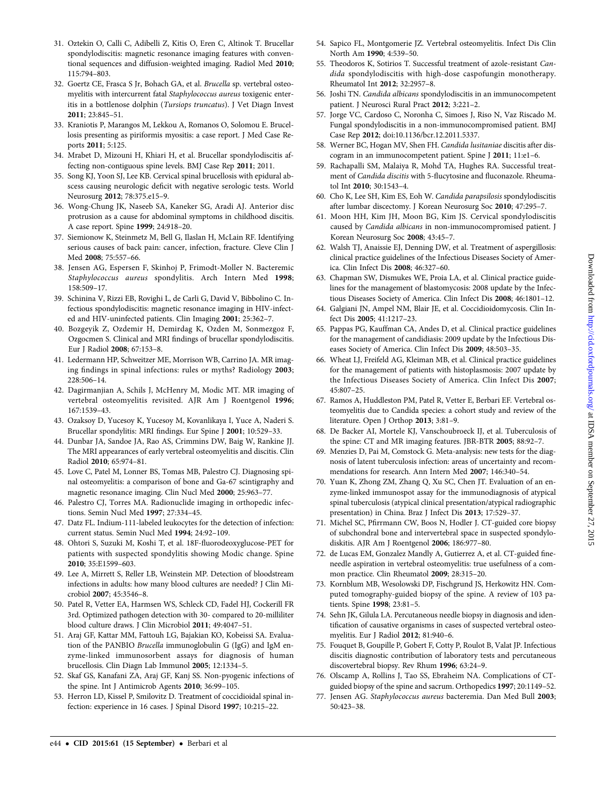- <span id="page-18-0"></span>31. Oztekin O, Calli C, Adibelli Z, Kitis O, Eren C, Altinok T. Brucellar spondylodiscitis: magnetic resonance imaging features with conventional sequences and diffusion-weighted imaging. Radiol Med 2010; 115:794–803.
- 32. Goertz CE, Frasca S Jr, Bohach GA, et al. Brucella sp. vertebral osteomyelitis with intercurrent fatal Staphylococcus aureus toxigenic enteritis in a bottlenose dolphin (Tursiops truncatus). J Vet Diagn Invest 2011; 23:845–51.
- 33. Kraniotis P, Marangos M, Lekkou A, Romanos O, Solomou E. Brucellosis presenting as piriformis myositis: a case report. J Med Case Reports 2011; 5:125.
- 34. Mrabet D, Mizouni H, Khiari H, et al. Brucellar spondylodiscitis affecting non-contiguous spine levels. BMJ Case Rep 2011; 2011.
- 35. Song KJ, Yoon SJ, Lee KB. Cervical spinal brucellosis with epidural abscess causing neurologic deficit with negative serologic tests. World Neurosurg 2012; 78:375.e15–9.
- 36. Wong-Chung JK, Naseeb SA, Kaneker SG, Aradi AJ. Anterior disc protrusion as a cause for abdominal symptoms in childhood discitis. A case report. Spine 1999; 24:918–20.
- 37. Siemionow K, Steinmetz M, Bell G, Ilaslan H, McLain RF. Identifying serious causes of back pain: cancer, infection, fracture. Cleve Clin J Med 2008; 75:557–66.
- 38. Jensen AG, Espersen F, Skinhoj P, Frimodt-Moller N. Bacteremic Staphylococcus aureus spondylitis. Arch Intern Med 1998; 158:509–17.
- 39. Schinina V, Rizzi EB, Rovighi L, de Carli G, David V, Bibbolino C. Infectious spondylodiscitis: magnetic resonance imaging in HIV-infected and HIV-uninfected patients. Clin Imaging 2001; 25:362–7.
- 40. Bozgeyik Z, Ozdemir H, Demirdag K, Ozden M, Sonmezgoz F, Ozgocmen S. Clinical and MRI findings of brucellar spondylodiscitis. Eur J Radiol 2008; 67:153–8.
- 41. Ledermann HP, Schweitzer ME, Morrison WB, Carrino JA. MR imaging findings in spinal infections: rules or myths? Radiology 2003; 228:506–14.
- 42. Dagirmanjian A, Schils J, McHenry M, Modic MT. MR imaging of vertebral osteomyelitis revisited. AJR Am J Roentgenol 1996; 167:1539–43.
- 43. Ozaksoy D, Yucesoy K, Yucesoy M, Kovanlikaya I, Yuce A, Naderi S. Brucellar spondylitis: MRI findings. Eur Spine J 2001; 10:529–33.
- 44. Dunbar JA, Sandoe JA, Rao AS, Crimmins DW, Baig W, Rankine JJ. The MRI appearances of early vertebral osteomyelitis and discitis. Clin Radiol 2010; 65:974–81.
- 45. Love C, Patel M, Lonner BS, Tomas MB, Palestro CJ. Diagnosing spinal osteomyelitis: a comparison of bone and Ga-67 scintigraphy and magnetic resonance imaging. Clin Nucl Med 2000; 25:963–77.
- 46. Palestro CJ, Torres MA. Radionuclide imaging in orthopedic infections. Semin Nucl Med 1997; 27:334–45.
- 47. Datz FL. Indium-111-labeled leukocytes for the detection of infection: current status. Semin Nucl Med 1994; 24:92–109.
- 48. Ohtori S, Suzuki M, Koshi T, et al. 18F-fluorodeoxyglucose-PET for patients with suspected spondylitis showing Modic change. Spine 2010; 35:E1599–603.
- 49. Lee A, Mirrett S, Reller LB, Weinstein MP. Detection of bloodstream infections in adults: how many blood cultures are needed? J Clin Microbiol 2007; 45:3546–8.
- 50. Patel R, Vetter EA, Harmsen WS, Schleck CD, Fadel HJ, Cockerill FR 3rd. Optimized pathogen detection with 30- compared to 20-milliliter blood culture draws. J Clin Microbiol 2011; 49:4047–51.
- 51. Araj GF, Kattar MM, Fattouh LG, Bajakian KO, Kobeissi SA. Evaluation of the PANBIO Brucella immunoglobulin G (IgG) and IgM enzyme-linked immunosorbent assays for diagnosis of human brucellosis. Clin Diagn Lab Immunol 2005; 12:1334–5.
- 52. Skaf GS, Kanafani ZA, Araj GF, Kanj SS. Non-pyogenic infections of the spine. Int J Antimicrob Agents 2010; 36:99–105.
- 53. Herron LD, Kissel P, Smilovitz D. Treatment of coccidioidal spinal infection: experience in 16 cases. J Spinal Disord 1997; 10:215–22.
- 54. Sapico FL, Montgomerie JZ. Vertebral osteomyelitis. Infect Dis Clin North Am 1990; 4:539–50.
- 55. Theodoros K, Sotirios T. Successful treatment of azole-resistant Candida spondylodiscitis with high-dose caspofungin monotherapy. Rheumatol Int 2012; 32:2957–8.
- 56. Joshi TN. Candida albicans spondylodiscitis in an immunocompetent patient. J Neurosci Rural Pract 2012; 3:221–2.
- 57. Jorge VC, Cardoso C, Noronha C, Simoes J, Riso N, Vaz Riscado M. Fungal spondylodiscitis in a non-immunocompromised patient. BMJ Case Rep 2012; doi:10.1136/bcr.12.2011.5337.
- 58. Werner BC, Hogan MV, Shen FH. Candida lusitaniae discitis after discogram in an immunocompetent patient. Spine J 2011; 11:e1–6.
- 59. Rachapalli SM, Malaiya R, Mohd TA, Hughes RA. Successful treatment of Candida discitis with 5-flucytosine and fluconazole. Rheumatol Int 2010; 30:1543–4.
- 60. Cho K, Lee SH, Kim ES, Eoh W. Candida parapsilosis spondylodiscitis after lumbar discectomy. J Korean Neurosurg Soc 2010; 47:295–7.
- 61. Moon HH, Kim JH, Moon BG, Kim JS. Cervical spondylodiscitis caused by Candida albicans in non-immunocompromised patient. J Korean Neurosurg Soc 2008; 43:45–7.
- 62. Walsh TJ, Anaissie EJ, Denning DW, et al. Treatment of aspergillosis: clinical practice guidelines of the Infectious Diseases Society of America. Clin Infect Dis 2008; 46:327–60.
- 63. Chapman SW, Dismukes WE, Proia LA, et al. Clinical practice guidelines for the management of blastomycosis: 2008 update by the Infectious Diseases Society of America. Clin Infect Dis 2008; 46:1801–12.
- 64. Galgiani JN, Ampel NM, Blair JE, et al. Coccidioidomycosis. Clin Infect Dis 2005; 41:1217–23.
- 65. Pappas PG, Kauffman CA, Andes D, et al. Clinical practice guidelines for the management of candidiasis: 2009 update by the Infectious Diseases Society of America. Clin Infect Dis 2009; 48:503–35.
- 66. Wheat LJ, Freifeld AG, Kleiman MB, et al. Clinical practice guidelines for the management of patients with histoplasmosis: 2007 update by the Infectious Diseases Society of America. Clin Infect Dis 2007; 45:807–25.
- 67. Ramos A, Huddleston PM, Patel R, Vetter E, Berbari EF. Vertebral osteomyelitis due to Candida species: a cohort study and review of the literature. Open J Orthop 2013; 3:81–9.
- 68. De Backer AI, Mortele KJ, Vanschoubroeck IJ, et al. Tuberculosis of the spine: CT and MR imaging features. JBR-BTR 2005; 88:92–7.
- 69. Menzies D, Pai M, Comstock G. Meta-analysis: new tests for the diagnosis of latent tuberculosis infection: areas of uncertainty and recommendations for research. Ann Intern Med 2007; 146:340–54.
- 70. Yuan K, Zhong ZM, Zhang Q, Xu SC, Chen JT. Evaluation of an enzyme-linked immunospot assay for the immunodiagnosis of atypical spinal tuberculosis (atypical clinical presentation/atypical radiographic presentation) in China. Braz J Infect Dis 2013; 17:529–37.
- 71. Michel SC, Pfirrmann CW, Boos N, Hodler J. CT-guided core biopsy of subchondral bone and intervertebral space in suspected spondylodiskitis. AJR Am J Roentgenol 2006; 186:977–80.
- 72. de Lucas EM, Gonzalez Mandly A, Gutierrez A, et al. CT-guided fineneedle aspiration in vertebral osteomyelitis: true usefulness of a common practice. Clin Rheumatol 2009; 28:315–20.
- 73. Kornblum MB, Wesolowski DP, Fischgrund JS, Herkowitz HN. Computed tomography-guided biopsy of the spine. A review of 103 patients. Spine 1998; 23:81–5.
- 74. Sehn JK, Gilula LA. Percutaneous needle biopsy in diagnosis and identification of causative organisms in cases of suspected vertebral osteomyelitis. Eur J Radiol 2012; 81:940–6.
- 75. Fouquet B, Goupille P, Gobert F, Cotty P, Roulot B, Valat JP. Infectious discitis diagnostic contribution of laboratory tests and percutaneous discovertebral biopsy. Rev Rhum 1996; 63:24–9.
- 76. Olscamp A, Rollins J, Tao SS, Ebraheim NA. Complications of CTguided biopsy of the spine and sacrum. Orthopedics 1997; 20:1149–52.
- 77. Jensen AG. Staphylococcus aureus bacteremia. Dan Med Bull 2003; 50:423–38.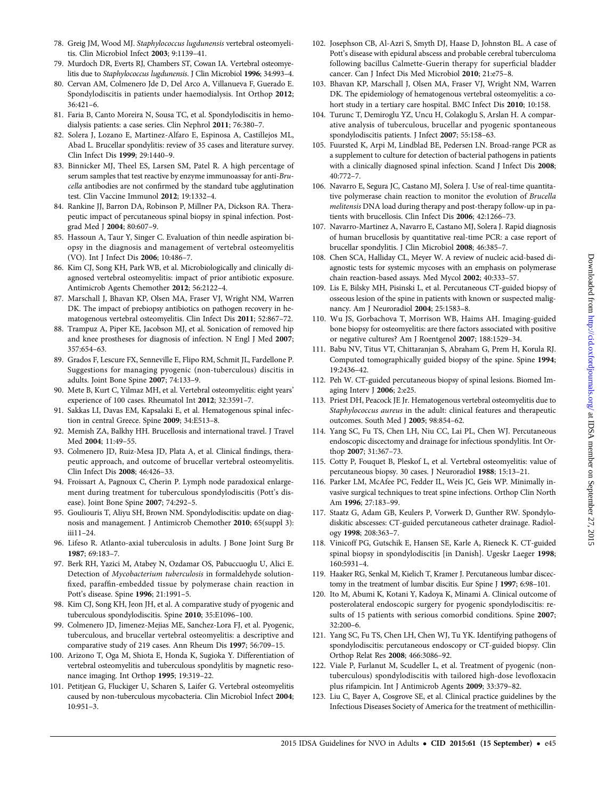- <span id="page-19-0"></span>78. Greig JM, Wood MJ. Staphylococcus lugdunensis vertebral osteomyelitis. Clin Microbiol Infect 2003; 9:1139–41.
- 79. Murdoch DR, Everts RJ, Chambers ST, Cowan IA. Vertebral osteomyelitis due to Staphylococcus lugdunensis. J Clin Microbiol 1996; 34:993–4.
- 80. Cervan AM, Colmenero Jde D, Del Arco A, Villanueva F, Guerado E. Spondylodiscitis in patients under haemodialysis. Int Orthop 2012; 36:421–6.
- 81. Faria B, Canto Moreira N, Sousa TC, et al. Spondylodiscitis in hemodialysis patients: a case series. Clin Nephrol 2011; 76:380–7.
- 82. Solera J, Lozano E, Martinez-Alfaro E, Espinosa A, Castillejos ML, Abad L. Brucellar spondylitis: review of 35 cases and literature survey. Clin Infect Dis 1999; 29:1440–9.
- 83. Binnicker MJ, Theel ES, Larsen SM, Patel R. A high percentage of serum samples that test reactive by enzyme immunoassay for anti-Brucella antibodies are not confirmed by the standard tube agglutination test. Clin Vaccine Immunol 2012; 19:1332–4.
- 84. Rankine JJ, Barron DA, Robinson P, Millner PA, Dickson RA. Therapeutic impact of percutaneous spinal biopsy in spinal infection. Postgrad Med J 2004; 80:607–9.
- 85. Hassoun A, Taur Y, Singer C. Evaluation of thin needle aspiration biopsy in the diagnosis and management of vertebral osteomyelitis (VO). Int J Infect Dis 2006; 10:486–7.
- 86. Kim CJ, Song KH, Park WB, et al. Microbiologically and clinically diagnosed vertebral osteomyelitis: impact of prior antibiotic exposure. Antimicrob Agents Chemother 2012; 56:2122–4.
- 87. Marschall J, Bhavan KP, Olsen MA, Fraser VJ, Wright NM, Warren DK. The impact of prebiopsy antibiotics on pathogen recovery in hematogenous vertebral osteomyelitis. Clin Infect Dis 2011; 52:867–72.
- 88. Trampuz A, Piper KE, Jacobson MJ, et al. Sonication of removed hip and knee prostheses for diagnosis of infection. N Engl J Med 2007; 357:654–63.
- 89. Grados F, Lescure FX, Senneville E, Flipo RM, Schmit JL, Fardellone P. Suggestions for managing pyogenic (non-tuberculous) discitis in adults. Joint Bone Spine 2007; 74:133–9.
- 90. Mete B, Kurt C, Yilmaz MH, et al. Vertebral osteomyelitis: eight years' experience of 100 cases. Rheumatol Int 2012; 32:3591–7.
- 91. Sakkas LI, Davas EM, Kapsalaki E, et al. Hematogenous spinal infection in central Greece. Spine 2009; 34:E513–8.
- 92. Memish ZA, Balkhy HH. Brucellosis and international travel. J Travel Med 2004; 11:49–55.
- 93. Colmenero JD, Ruiz-Mesa JD, Plata A, et al. Clinical findings, therapeutic approach, and outcome of brucellar vertebral osteomyelitis. Clin Infect Dis 2008; 46:426–33.
- 94. Froissart A, Pagnoux C, Cherin P. Lymph node paradoxical enlargement during treatment for tuberculous spondylodiscitis (Pott's disease). Joint Bone Spine 2007; 74:292–5.
- 95. Gouliouris T, Aliyu SH, Brown NM. Spondylodiscitis: update on diagnosis and management. J Antimicrob Chemother 2010; 65(suppl 3): iii11–24.
- 96. Lifeso R. Atlanto-axial tuberculosis in adults. J Bone Joint Surg Br 1987; 69:183–7.
- 97. Berk RH, Yazici M, Atabey N, Ozdamar OS, Pabuccuoglu U, Alici E. Detection of Mycobacterium tuberculosis in formaldehyde solutionfixed, paraffin-embedded tissue by polymerase chain reaction in Pott's disease. Spine 1996; 21:1991–5.
- 98. Kim CJ, Song KH, Jeon JH, et al. A comparative study of pyogenic and tuberculous spondylodiscitis. Spine 2010; 35:E1096–100.
- 99. Colmenero JD, Jimenez-Mejias ME, Sanchez-Lora FJ, et al. Pyogenic, tuberculous, and brucellar vertebral osteomyelitis: a descriptive and comparative study of 219 cases. Ann Rheum Dis 1997; 56:709–15.
- 100. Arizono T, Oga M, Shiota E, Honda K, Sugioka Y. Differentiation of vertebral osteomyelitis and tuberculous spondylitis by magnetic resonance imaging. Int Orthop 1995; 19:319–22.
- 101. Petitjean G, Fluckiger U, Scharen S, Laifer G. Vertebral osteomyelitis caused by non-tuberculous mycobacteria. Clin Microbiol Infect 2004; 10:951–3.
- 102. Josephson CB, Al-Azri S, Smyth DJ, Haase D, Johnston BL. A case of Pott's disease with epidural abscess and probable cerebral tuberculoma following bacillus Calmette-Guerin therapy for superficial bladder cancer. Can J Infect Dis Med Microbiol 2010; 21:e75–8.
- 103. Bhavan KP, Marschall J, Olsen MA, Fraser VJ, Wright NM, Warren DK. The epidemiology of hematogenous vertebral osteomyelitis: a cohort study in a tertiary care hospital. BMC Infect Dis 2010; 10:158.
- 104. Turunc T, Demiroglu YZ, Uncu H, Colakoglu S, Arslan H. A comparative analysis of tuberculous, brucellar and pyogenic spontaneous spondylodiscitis patients. J Infect 2007; 55:158–63.
- 105. Fuursted K, Arpi M, Lindblad BE, Pedersen LN. Broad-range PCR as a supplement to culture for detection of bacterial pathogens in patients with a clinically diagnosed spinal infection. Scand J Infect Dis 2008; 40:772–7.
- 106. Navarro E, Segura JC, Castano MJ, Solera J. Use of real-time quantitative polymerase chain reaction to monitor the evolution of Brucella melitensis DNA load during therapy and post-therapy follow-up in patients with brucellosis. Clin Infect Dis 2006; 42:1266–73.
- 107. Navarro-Martinez A, Navarro E, Castano MJ, Solera J. Rapid diagnosis of human brucellosis by quantitative real-time PCR: a case report of brucellar spondylitis. J Clin Microbiol 2008; 46:385–7.
- 108. Chen SCA, Halliday CL, Meyer W. A review of nucleic acid-based diagnostic tests for systemic mycoses with an emphasis on polymerase chain reaction-based assays. Med Mycol 2002; 40:333–57.
- 109. Lis E, Bilsky MH, Pisinski L, et al. Percutaneous CT-guided biopsy of osseous lesion of the spine in patients with known or suspected malignancy. Am J Neuroradiol 2004; 25:1583–8.
- 110. Wu JS, Gorbachova T, Morrison WB, Haims AH. Imaging-guided bone biopsy for osteomyelitis: are there factors associated with positive or negative cultures? Am J Roentgenol 2007; 188:1529–34.
- 111. Babu NV, Titus VT, Chittaranjan S, Abraham G, Prem H, Korula RJ. Computed tomographically guided biopsy of the spine. Spine 1994; 19:2436–42.
- 112. Peh W. CT-guided percutaneous biopsy of spinal lesions. Biomed Imaging Interv J 2006; 2:e25.
- 113. Priest DH, Peacock JE Jr. Hematogenous vertebral osteomyelitis due to Staphylococcus aureus in the adult: clinical features and therapeutic outcomes. South Med J 2005; 98:854–62.
- 114. Yang SC, Fu TS, Chen LH, Niu CC, Lai PL, Chen WJ. Percutaneous endoscopic discectomy and drainage for infectious spondylitis. Int Orthop 2007; 31:367–73.
- 115. Cotty P, Fouquet B, Pleskof L, et al. Vertebral osteomyelitis: value of percutaneous biopsy. 30 cases. J Neuroradiol 1988; 15:13–21.
- 116. Parker LM, McAfee PC, Fedder IL, Weis JC, Geis WP. Minimally invasive surgical techniques to treat spine infections. Orthop Clin North Am 1996; 27:183–99.
- 117. Staatz G, Adam GB, Keulers P, Vorwerk D, Gunther RW. Spondylodiskitic abscesses: CT-guided percutaneous catheter drainage. Radiology 1998; 208:363–7.
- 118. Vinicoff PG, Gutschik E, Hansen SE, Karle A, Rieneck K. CT-guided spinal biopsy in spondylodiscitis [in Danish]. Ugeskr Laeger 1998; 160:5931–4.
- 119. Haaker RG, Senkal M, Kielich T, Kramer J. Percutaneous lumbar discectomy in the treatment of lumbar discitis. Eur Spine J 1997; 6:98–101.
- 120. Ito M, Abumi K, Kotani Y, Kadoya K, Minami A. Clinical outcome of posterolateral endoscopic surgery for pyogenic spondylodiscitis: results of 15 patients with serious comorbid conditions. Spine 2007; 32:200–6.
- 121. Yang SC, Fu TS, Chen LH, Chen WJ, Tu YK. Identifying pathogens of spondylodiscitis: percutaneous endoscopy or CT-guided biopsy. Clin Orthop Relat Res 2008; 466:3086–92.
- 122. Viale P, Furlanut M, Scudeller L, et al. Treatment of pyogenic (nontuberculous) spondylodiscitis with tailored high-dose levofloxacin plus rifampicin. Int J Antimicrob Agents 2009; 33:379–82.
- 123. Liu C, Bayer A, Cosgrove SE, et al. Clinical practice guidelines by the Infectious Diseases Society of America for the treatment of methicillin-